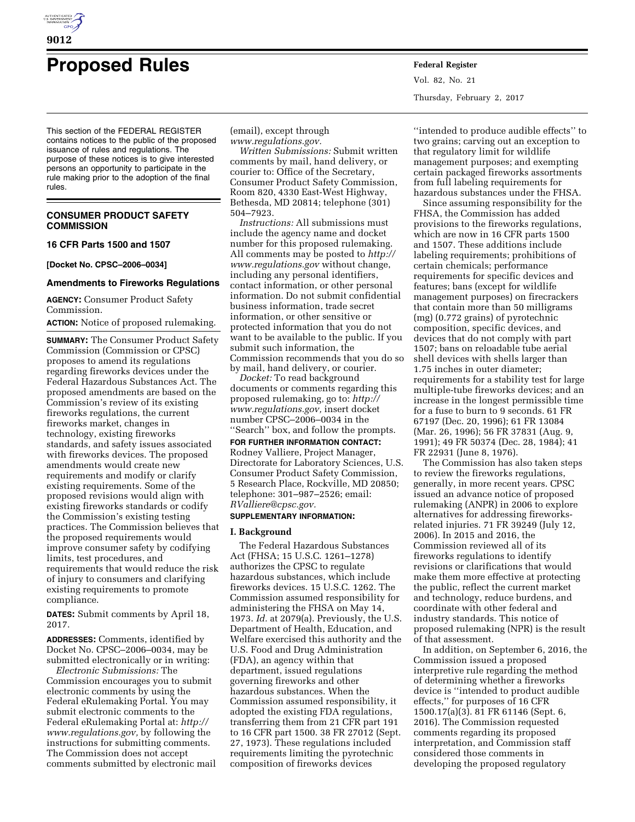

# **Proposed Rules Federal Register**

This section of the FEDERAL REGISTER contains notices to the public of the proposed issuance of rules and regulations. The purpose of these notices is to give interested persons an opportunity to participate in the rule making prior to the adoption of the final rules.

## **CONSUMER PRODUCT SAFETY COMMISSION**

**16 CFR Parts 1500 and 1507** 

**[Docket No. CPSC–2006–0034]** 

#### **Amendments to Fireworks Regulations**

**AGENCY:** Consumer Product Safety Commission.

**ACTION:** Notice of proposed rulemaking.

**SUMMARY:** The Consumer Product Safety Commission (Commission or CPSC) proposes to amend its regulations regarding fireworks devices under the Federal Hazardous Substances Act. The proposed amendments are based on the Commission's review of its existing fireworks regulations, the current fireworks market, changes in technology, existing fireworks standards, and safety issues associated with fireworks devices. The proposed amendments would create new requirements and modify or clarify existing requirements. Some of the proposed revisions would align with existing fireworks standards or codify the Commission's existing testing practices. The Commission believes that the proposed requirements would improve consumer safety by codifying limits, test procedures, and requirements that would reduce the risk of injury to consumers and clarifying existing requirements to promote compliance.

**DATES:** Submit comments by April 18, 2017.

**ADDRESSES:** Comments, identified by Docket No. CPSC–2006–0034, may be submitted electronically or in writing:

*Electronic Submissions:* The Commission encourages you to submit electronic comments by using the Federal eRulemaking Portal. You may submit electronic comments to the Federal eRulemaking Portal at: *[http://](http://www.regulations.gov) [www.regulations.gov,](http://www.regulations.gov)* by following the instructions for submitting comments. The Commission does not accept comments submitted by electronic mail (email), except through *[www.regulations.gov.](http://www.regulations.gov)* 

*Written Submissions:* Submit written comments by mail, hand delivery, or courier to: Office of the Secretary, Consumer Product Safety Commission, Room 820, 4330 East-West Highway, Bethesda, MD 20814; telephone (301) 504–7923.

*Instructions:* All submissions must include the agency name and docket number for this proposed rulemaking. All comments may be posted to *[http://](http://www.regulations.gov) [www.regulations.gov](http://www.regulations.gov)* without change, including any personal identifiers, contact information, or other personal information. Do not submit confidential business information, trade secret information, or other sensitive or protected information that you do not want to be available to the public. If you submit such information, the Commission recommends that you do so by mail, hand delivery, or courier.

*Docket:* To read background documents or comments regarding this proposed rulemaking, go to: *[http://](http://www.regulations.gov) [www.regulations.gov,](http://www.regulations.gov)* insert docket number CPSC–2006–0034 in the ''Search'' box, and follow the prompts.

## **FOR FURTHER INFORMATION CONTACT:**

Rodney Valliere, Project Manager, Directorate for Laboratory Sciences, U.S. Consumer Product Safety Commission, 5 Research Place, Rockville, MD 20850; telephone: 301–987–2526; email: *[RValliere@cpsc.gov.](mailto:RValliere@cpsc.gov)* 

## **SUPPLEMENTARY INFORMATION:**

#### **I. Background**

The Federal Hazardous Substances Act (FHSA; 15 U.S.C. 1261–1278) authorizes the CPSC to regulate hazardous substances, which include fireworks devices. 15 U.S.C. 1262. The Commission assumed responsibility for administering the FHSA on May 14, 1973. *Id.* at 2079(a). Previously, the U.S. Department of Health, Education, and Welfare exercised this authority and the U.S. Food and Drug Administration (FDA), an agency within that department, issued regulations governing fireworks and other hazardous substances. When the Commission assumed responsibility, it adopted the existing FDA regulations, transferring them from 21 CFR part 191 to 16 CFR part 1500. 38 FR 27012 (Sept. 27, 1973). These regulations included requirements limiting the pyrotechnic composition of fireworks devices

Vol. 82, No. 21 Thursday, February 2, 2017

''intended to produce audible effects'' to two grains; carving out an exception to that regulatory limit for wildlife management purposes; and exempting certain packaged fireworks assortments from full labeling requirements for hazardous substances under the FHSA.

Since assuming responsibility for the FHSA, the Commission has added provisions to the fireworks regulations, which are now in 16 CFR parts 1500 and 1507. These additions include labeling requirements; prohibitions of certain chemicals; performance requirements for specific devices and features; bans (except for wildlife management purposes) on firecrackers that contain more than 50 milligrams (mg) (0.772 grains) of pyrotechnic composition, specific devices, and devices that do not comply with part 1507; bans on reloadable tube aerial shell devices with shells larger than 1.75 inches in outer diameter; requirements for a stability test for large multiple-tube fireworks devices; and an increase in the longest permissible time for a fuse to burn to 9 seconds. 61 FR 67197 (Dec. 20, 1996); 61 FR 13084 (Mar. 26, 1996); 56 FR 37831 (Aug. 9, 1991); 49 FR 50374 (Dec. 28, 1984); 41 FR 22931 (June 8, 1976).

The Commission has also taken steps to review the fireworks regulations, generally, in more recent years. CPSC issued an advance notice of proposed rulemaking (ANPR) in 2006 to explore alternatives for addressing fireworksrelated injuries. 71 FR 39249 (July 12, 2006). In 2015 and 2016, the Commission reviewed all of its fireworks regulations to identify revisions or clarifications that would make them more effective at protecting the public, reflect the current market and technology, reduce burdens, and coordinate with other federal and industry standards. This notice of proposed rulemaking (NPR) is the result of that assessment.

In addition, on September 6, 2016, the Commission issued a proposed interpretive rule regarding the method of determining whether a fireworks device is ''intended to product audible effects,'' for purposes of 16 CFR 1500.17(a)(3). 81 FR 61146 (Sept. 6, 2016). The Commission requested comments regarding its proposed interpretation, and Commission staff considered those comments in developing the proposed regulatory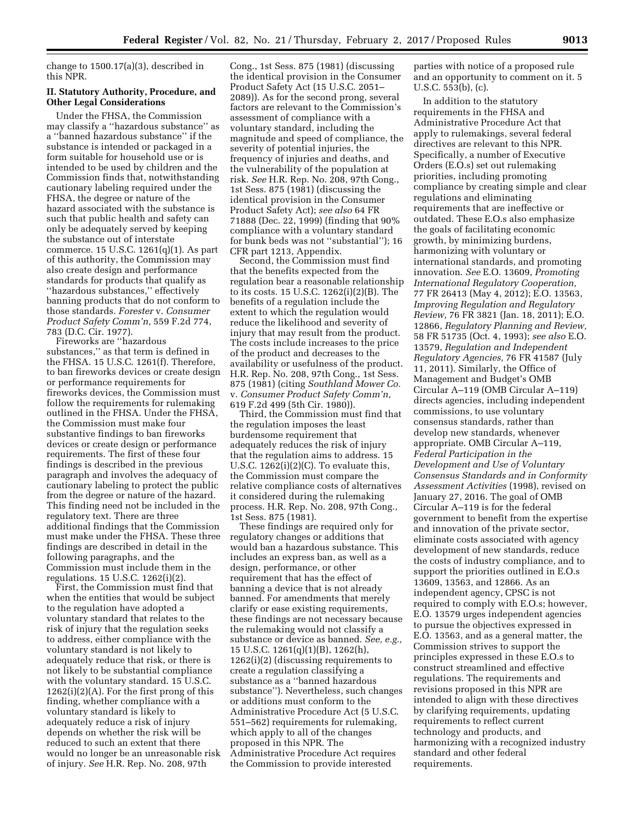change to 1500.17(a)(3), described in this NPR.

## **II. Statutory Authority, Procedure, and Other Legal Considerations**

Under the FHSA, the Commission may classify a ''hazardous substance'' as a ''banned hazardous substance'' if the substance is intended or packaged in a form suitable for household use or is intended to be used by children and the Commission finds that, notwithstanding cautionary labeling required under the FHSA, the degree or nature of the hazard associated with the substance is such that public health and safety can only be adequately served by keeping the substance out of interstate commerce. 15 U.S.C. 1261(q)(1). As part of this authority, the Commission may also create design and performance standards for products that qualify as ''hazardous substances,'' effectively banning products that do not conform to those standards. *Forester* v. *Consumer Product Safety Comm'n,* 559 F.2d 774, 783 (D.C. Cir. 1977).

Fireworks are ''hazardous substances,'' as that term is defined in the FHSA. 15 U.S.C. 1261(f). Therefore, to ban fireworks devices or create design or performance requirements for fireworks devices, the Commission must follow the requirements for rulemaking outlined in the FHSA. Under the FHSA, the Commission must make four substantive findings to ban fireworks devices or create design or performance requirements. The first of these four findings is described in the previous paragraph and involves the adequacy of cautionary labeling to protect the public from the degree or nature of the hazard. This finding need not be included in the regulatory text. There are three additional findings that the Commission must make under the FHSA. These three findings are described in detail in the following paragraphs, and the Commission must include them in the regulations. 15 U.S.C. 1262(i)(2).

First, the Commission must find that when the entities that would be subject to the regulation have adopted a voluntary standard that relates to the risk of injury that the regulation seeks to address, either compliance with the voluntary standard is not likely to adequately reduce that risk, or there is not likely to be substantial compliance with the voluntary standard. 15 U.S.C.  $1262(i)(2)(A)$ . For the first prong of this finding, whether compliance with a voluntary standard is likely to adequately reduce a risk of injury depends on whether the risk will be reduced to such an extent that there would no longer be an unreasonable risk of injury. *See* H.R. Rep. No. 208, 97th

Cong., 1st Sess. 875 (1981) (discussing the identical provision in the Consumer Product Safety Act (15 U.S.C. 2051– 2089)). As for the second prong, several factors are relevant to the Commission's assessment of compliance with a voluntary standard, including the magnitude and speed of compliance, the severity of potential injuries, the frequency of injuries and deaths, and the vulnerability of the population at risk. *See* H.R. Rep. No. 208, 97th Cong., 1st Sess. 875 (1981) (discussing the identical provision in the Consumer Product Safety Act); *see also* 64 FR 71888 (Dec. 22, 1999) (finding that 90% compliance with a voluntary standard for bunk beds was not ''substantial''); 16 CFR part 1213, Appendix.

Second, the Commission must find that the benefits expected from the regulation bear a reasonable relationship to its costs. 15 U.S.C. 1262(i)(2)(B). The benefits of a regulation include the extent to which the regulation would reduce the likelihood and severity of injury that may result from the product. The costs include increases to the price of the product and decreases to the availability or usefulness of the product. H.R. Rep. No. 208, 97th Cong., 1st Sess. 875 (1981) (citing *Southland Mower Co.*  v. *Consumer Product Safety Comm'n,*  619 F.2d 499 (5th Cir. 1980)).

Third, the Commission must find that the regulation imposes the least burdensome requirement that adequately reduces the risk of injury that the regulation aims to address. 15 U.S.C. 1262(i)(2)(C). To evaluate this, the Commission must compare the relative compliance costs of alternatives it considered during the rulemaking process. H.R. Rep. No. 208, 97th Cong., 1st Sess. 875 (1981).

These findings are required only for regulatory changes or additions that would ban a hazardous substance. This includes an express ban, as well as a design, performance, or other requirement that has the effect of banning a device that is not already banned. For amendments that merely clarify or ease existing requirements, these findings are not necessary because the rulemaking would not classify a substance or device as banned. *See, e.g.,*  15 U.S.C. 1261(q)(1)(B), 1262(h), 1262(i)(2) (discussing requirements to create a regulation classifying a substance as a ''banned hazardous substance''). Nevertheless, such changes or additions must conform to the Administrative Procedure Act (5 U.S.C. 551–562) requirements for rulemaking, which apply to all of the changes proposed in this NPR. The Administrative Procedure Act requires the Commission to provide interested

parties with notice of a proposed rule and an opportunity to comment on it. 5 U.S.C. 553(b), (c).

In addition to the statutory requirements in the FHSA and Administrative Procedure Act that apply to rulemakings, several federal directives are relevant to this NPR. Specifically, a number of Executive Orders (E.O.s) set out rulemaking priorities, including promoting compliance by creating simple and clear regulations and eliminating requirements that are ineffective or outdated. These E.O.s also emphasize the goals of facilitating economic growth, by minimizing burdens, harmonizing with voluntary or international standards, and promoting innovation. *See* E.O. 13609, *Promoting International Regulatory Cooperation,*  77 FR 26413 (May 4, 2012); E.O. 13563, *Improving Regulation and Regulatory Review,* 76 FR 3821 (Jan. 18, 2011); E.O. 12866, *Regulatory Planning and Review,*  58 FR 51735 (Oct. 4, 1993); *see also* E.O. 13579, *Regulation and Independent Regulatory Agencies,* 76 FR 41587 (July 11, 2011). Similarly, the Office of Management and Budget's OMB Circular A–119 (OMB Circular A–119) directs agencies, including independent commissions, to use voluntary consensus standards, rather than develop new standards, whenever appropriate. OMB Circular A–119, *Federal Participation in the Development and Use of Voluntary Consensus Standards and in Conformity Assessment Activities* (1998), revised on January 27, 2016. The goal of OMB Circular A–119 is for the federal government to benefit from the expertise and innovation of the private sector, eliminate costs associated with agency development of new standards, reduce the costs of industry compliance, and to support the priorities outlined in E.O.s 13609, 13563, and 12866. As an independent agency, CPSC is not required to comply with E.O.s; however, E.O. 13579 urges independent agencies to pursue the objectives expressed in E.O. 13563, and as a general matter, the Commission strives to support the principles expressed in these E.O.s to construct streamlined and effective regulations. The requirements and revisions proposed in this NPR are intended to align with these directives by clarifying requirements, updating requirements to reflect current technology and products, and harmonizing with a recognized industry standard and other federal requirements.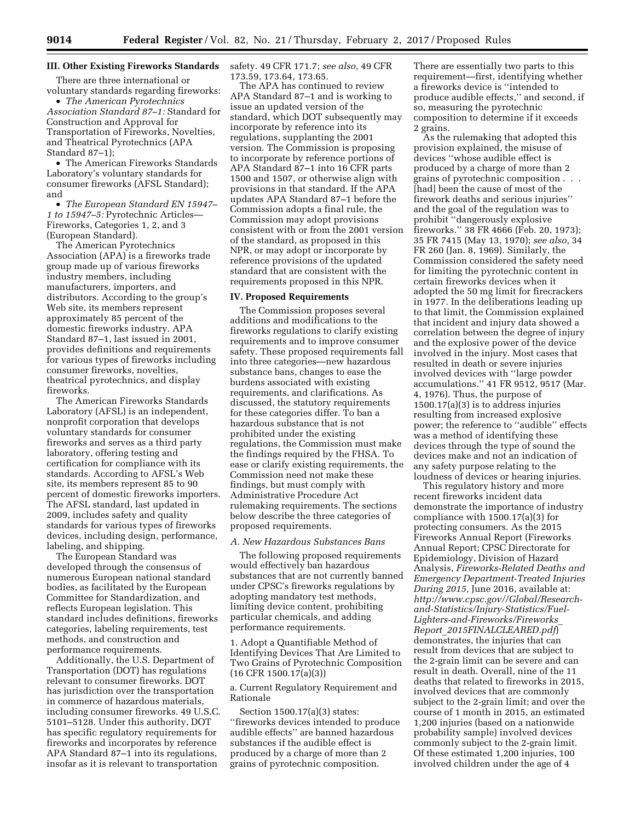**III. Other Existing Fireworks Standards** 

There are three international or voluntary standards regarding fireworks:

• *The American Pyrotechnics Association Standard 87–1:* Standard for Construction and Approval for Transportation of Fireworks, Novelties, and Theatrical Pyrotechnics (APA Standard 87–1);

• The American Fireworks Standards Laboratory's voluntary standards for consumer fireworks (AFSL Standard); and

• *The European Standard EN 15947– 1 to 15947–5:* Pyrotechnic Articles— Fireworks, Categories 1, 2, and 3 (European Standard).

The American Pyrotechnics Association (APA) is a fireworks trade group made up of various fireworks industry members, including manufacturers, importers, and distributors. According to the group's Web site, its members represent approximately 85 percent of the domestic fireworks industry. APA Standard 87–1, last issued in 2001, provides definitions and requirements for various types of fireworks including consumer fireworks, novelties, theatrical pyrotechnics, and display fireworks.

The American Fireworks Standards Laboratory (AFSL) is an independent, nonprofit corporation that develops voluntary standards for consumer fireworks and serves as a third party laboratory, offering testing and certification for compliance with its standards. According to AFSL's Web site, its members represent 85 to 90 percent of domestic fireworks importers. The AFSL standard, last updated in 2009, includes safety and quality standards for various types of fireworks devices, including design, performance, labeling, and shipping.

The European Standard was developed through the consensus of numerous European national standard bodies, as facilitated by the European Committee for Standardization, and reflects European legislation. This standard includes definitions, fireworks categories, labeling requirements, test methods, and construction and performance requirements.

Additionally, the U.S. Department of Transportation (DOT) has regulations relevant to consumer fireworks. DOT has jurisdiction over the transportation in commerce of hazardous materials, including consumer fireworks. 49 U.S.C. 5101–5128. Under this authority, DOT has specific regulatory requirements for fireworks and incorporates by reference APA Standard 87–1 into its regulations, insofar as it is relevant to transportation

safety. 49 CFR 171.7; *see also,* 49 CFR 173.59, 173.64, 173.65.

The APA has continued to review APA Standard 87–1 and is working to issue an updated version of the standard, which DOT subsequently may incorporate by reference into its regulations, supplanting the 2001 version. The Commission is proposing to incorporate by reference portions of APA Standard 87–1 into 16 CFR parts 1500 and 1507, or otherwise align with provisions in that standard. If the APA updates APA Standard 87–1 before the Commission adopts a final rule, the Commission may adopt provisions consistent with or from the 2001 version of the standard, as proposed in this NPR, or may adopt or incorporate by reference provisions of the updated standard that are consistent with the requirements proposed in this NPR.

# **IV. Proposed Requirements**

The Commission proposes several additions and modifications to the fireworks regulations to clarify existing requirements and to improve consumer safety. These proposed requirements fall into three categories—new hazardous substance bans, changes to ease the burdens associated with existing requirements, and clarifications. As discussed, the statutory requirements for these categories differ. To ban a hazardous substance that is not prohibited under the existing regulations, the Commission must make the findings required by the FHSA. To ease or clarify existing requirements, the Commission need not make these findings, but must comply with Administrative Procedure Act rulemaking requirements. The sections below describe the three categories of proposed requirements.

#### *A. New Hazardous Substances Bans*

The following proposed requirements would effectively ban hazardous substances that are not currently banned under CPSC's fireworks regulations by adopting mandatory test methods, limiting device content, prohibiting particular chemicals, and adding performance requirements.

1. Adopt a Quantifiable Method of Identifying Devices That Are Limited to Two Grains of Pyrotechnic Composition (16 CFR 1500.17(a)(3))

a. Current Regulatory Requirement and Rationale

Section 1500.17(a)(3) states: ''fireworks devices intended to produce audible effects'' are banned hazardous substances if the audible effect is produced by a charge of more than 2 grains of pyrotechnic composition.

There are essentially two parts to this requirement—first, identifying whether a fireworks device is ''intended to produce audible effects,'' and second, if so, measuring the pyrotechnic composition to determine if it exceeds 2 grains.

As the rulemaking that adopted this provision explained, the misuse of devices ''whose audible effect is produced by a charge of more than 2 grains of pyrotechnic composition . . . [had] been the cause of most of the firework deaths and serious injuries'' and the goal of the regulation was to prohibit ''dangerously explosive fireworks.'' 38 FR 4666 (Feb. 20, 1973); 35 FR 7415 (May 13, 1970); *see also,* 34 FR 260 (Jan. 8, 1969). Similarly, the Commission considered the safety need for limiting the pyrotechnic content in certain fireworks devices when it adopted the 50 mg limit for firecrackers in 1977. In the deliberations leading up to that limit, the Commission explained that incident and injury data showed a correlation between the degree of injury and the explosive power of the device involved in the injury. Most cases that resulted in death or severe injuries involved devices with ''large powder accumulations.'' 41 FR 9512, 9517 (Mar. 4, 1976). Thus, the purpose of 1500.17(a)(3) is to address injuries resulting from increased explosive power; the reference to ''audible'' effects was a method of identifying these devices through the type of sound the devices make and not an indication of any safety purpose relating to the loudness of devices or hearing injuries.

This regulatory history and more recent fireworks incident data demonstrate the importance of industry compliance with 1500.17(a)(3) for protecting consumers. As the 2015 Fireworks Annual Report (Fireworks Annual Report; CPSC Directorate for Epidemiology, Division of Hazard Analysis, *Fireworks-Related Deaths and Emergency Department-Treated Injuries During 2015,* June 2016, available at: *[http://www.cpsc.gov//Global/Research](http://www.cpsc.gov//Global/Research-and-Statistics/Injury-Statistics/Fuel-Lighters-and-Fireworks/Fireworks_Report_2015FINALCLEARED.pdf)[and-Statistics/Injury-Statistics/Fuel-](http://www.cpsc.gov//Global/Research-and-Statistics/Injury-Statistics/Fuel-Lighters-and-Fireworks/Fireworks_Report_2015FINALCLEARED.pdf)[Lighters-and-Fireworks/Fireworks](http://www.cpsc.gov//Global/Research-and-Statistics/Injury-Statistics/Fuel-Lighters-and-Fireworks/Fireworks_Report_2015FINALCLEARED.pdf)*\_ *Report*\_*[2015FINALCLEARED.pdf](http://www.cpsc.gov//Global/Research-and-Statistics/Injury-Statistics/Fuel-Lighters-and-Fireworks/Fireworks_Report_2015FINALCLEARED.pdf)*) demonstrates, the injuries that can result from devices that are subject to the 2-grain limit can be severe and can result in death. Overall, nine of the 11 deaths that related to fireworks in 2015, involved devices that are commonly subject to the 2-grain limit; and over the course of 1 month in 2015, an estimated 1,200 injuries (based on a nationwide probability sample) involved devices commonly subject to the 2-grain limit. Of these estimated 1,200 injuries, 100 involved children under the age of 4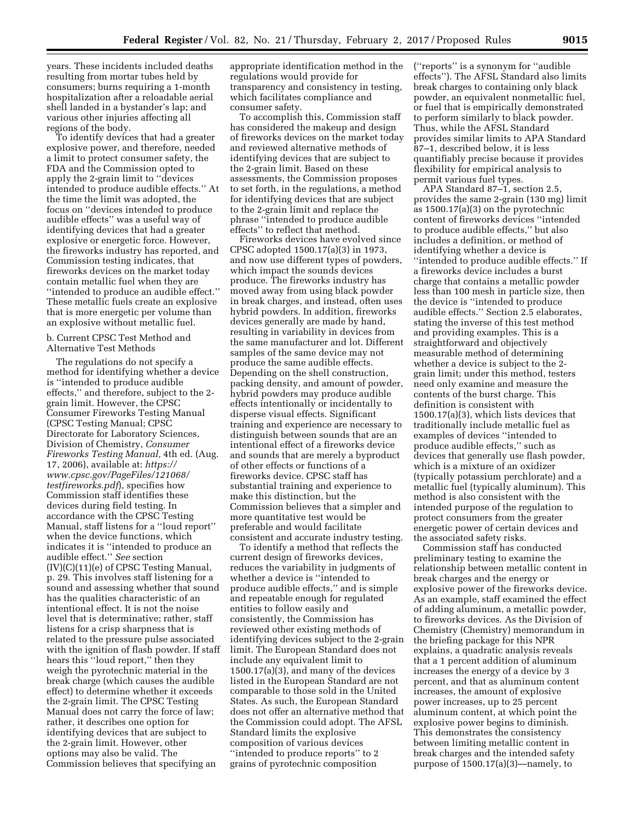years. These incidents included deaths resulting from mortar tubes held by consumers; burns requiring a 1-month hospitalization after a reloadable aerial shell landed in a bystander's lap; and various other injuries affecting all regions of the body.

To identify devices that had a greater explosive power, and therefore, needed a limit to protect consumer safety, the FDA and the Commission opted to apply the 2-grain limit to ''devices intended to produce audible effects.'' At the time the limit was adopted, the focus on ''devices intended to produce audible effects'' was a useful way of identifying devices that had a greater explosive or energetic force. However, the fireworks industry has reported, and Commission testing indicates, that fireworks devices on the market today contain metallic fuel when they are ''intended to produce an audible effect.'' These metallic fuels create an explosive that is more energetic per volume than an explosive without metallic fuel.

## b. Current CPSC Test Method and Alternative Test Methods

The regulations do not specify a method for identifying whether a device is ''intended to produce audible effects,'' and therefore, subject to the 2 grain limit. However, the CPSC Consumer Fireworks Testing Manual (CPSC Testing Manual; CPSC Directorate for Laboratory Sciences, Division of Chemistry, *Consumer Fireworks Testing Manual,* 4th ed. (Aug. 17, 2006), available at: *[https://](https://www.cpsc.gov/PageFiles/121068/testfireworks.pdf) [www.cpsc.gov/PageFiles/121068/](https://www.cpsc.gov/PageFiles/121068/testfireworks.pdf)  [testfireworks.pdf](https://www.cpsc.gov/PageFiles/121068/testfireworks.pdf)*), specifies how Commission staff identifies these devices during field testing. In accordance with the CPSC Testing Manual, staff listens for a ''loud report'' when the device functions, which indicates it is ''intended to produce an audible effect.'' *See* section (IV)(C)(11)(e) of CPSC Testing Manual, p. 29. This involves staff listening for a sound and assessing whether that sound has the qualities characteristic of an intentional effect. It is not the noise level that is determinative; rather, staff listens for a crisp sharpness that is related to the pressure pulse associated with the ignition of flash powder. If staff hears this ''loud report,'' then they weigh the pyrotechnic material in the break charge (which causes the audible effect) to determine whether it exceeds the 2-grain limit. The CPSC Testing Manual does not carry the force of law; rather, it describes one option for identifying devices that are subject to the 2-grain limit. However, other options may also be valid. The Commission believes that specifying an

appropriate identification method in the regulations would provide for transparency and consistency in testing, which facilitates compliance and consumer safety.

To accomplish this, Commission staff has considered the makeup and design of fireworks devices on the market today and reviewed alternative methods of identifying devices that are subject to the 2-grain limit. Based on these assessments, the Commission proposes to set forth, in the regulations, a method for identifying devices that are subject to the 2-grain limit and replace the phrase ''intended to produce audible effects'' to reflect that method.

Fireworks devices have evolved since CPSC adopted 1500.17(a)(3) in 1973, and now use different types of powders, which impact the sounds devices produce. The fireworks industry has moved away from using black powder in break charges, and instead, often uses hybrid powders. In addition, fireworks devices generally are made by hand, resulting in variability in devices from the same manufacturer and lot. Different samples of the same device may not produce the same audible effects. Depending on the shell construction, packing density, and amount of powder, hybrid powders may produce audible effects intentionally or incidentally to disperse visual effects. Significant training and experience are necessary to distinguish between sounds that are an intentional effect of a fireworks device and sounds that are merely a byproduct of other effects or functions of a fireworks device. CPSC staff has substantial training and experience to make this distinction, but the Commission believes that a simpler and more quantitative test would be preferable and would facilitate consistent and accurate industry testing.

To identify a method that reflects the current design of fireworks devices, reduces the variability in judgments of whether a device is ''intended to produce audible effects,'' and is simple and repeatable enough for regulated entities to follow easily and consistently, the Commission has reviewed other existing methods of identifying devices subject to the 2-grain limit. The European Standard does not include any equivalent limit to 1500.17(a)(3), and many of the devices listed in the European Standard are not comparable to those sold in the United States. As such, the European Standard does not offer an alternative method that the Commission could adopt. The AFSL Standard limits the explosive composition of various devices ''intended to produce reports'' to 2 grains of pyrotechnic composition

(''reports'' is a synonym for ''audible effects''). The AFSL Standard also limits break charges to containing only black powder, an equivalent nonmetallic fuel, or fuel that is empirically demonstrated to perform similarly to black powder. Thus, while the AFSL Standard provides similar limits to APA Standard 87–1, described below, it is less quantifiably precise because it provides flexibility for empirical analysis to permit various fuel types.

APA Standard 87–1, section 2.5, provides the same 2-grain (130 mg) limit as 1500.17(a)(3) on the pyrotechnic content of fireworks devices ''intended to produce audible effects,'' but also includes a definition, or method of identifying whether a device is ''intended to produce audible effects.'' If a fireworks device includes a burst charge that contains a metallic powder less than 100 mesh in particle size, then the device is ''intended to produce audible effects.'' Section 2.5 elaborates, stating the inverse of this test method and providing examples. This is a straightforward and objectively measurable method of determining whether a device is subject to the 2 grain limit; under this method, testers need only examine and measure the contents of the burst charge. This definition is consistent with 1500.17(a)(3), which lists devices that traditionally include metallic fuel as examples of devices ''intended to produce audible effects,'' such as devices that generally use flash powder, which is a mixture of an oxidizer (typically potassium perchlorate) and a metallic fuel (typically aluminum). This method is also consistent with the intended purpose of the regulation to protect consumers from the greater energetic power of certain devices and the associated safety risks.

Commission staff has conducted preliminary testing to examine the relationship between metallic content in break charges and the energy or explosive power of the fireworks device. As an example, staff examined the effect of adding aluminum, a metallic powder, to fireworks devices. As the Division of Chemistry (Chemistry) memorandum in the briefing package for this NPR explains, a quadratic analysis reveals that a 1 percent addition of aluminum increases the energy of a device by 3 percent, and that as aluminum content increases, the amount of explosive power increases, up to 25 percent aluminum content, at which point the explosive power begins to diminish. This demonstrates the consistency between limiting metallic content in break charges and the intended safety purpose of 1500.17(a)(3)—namely, to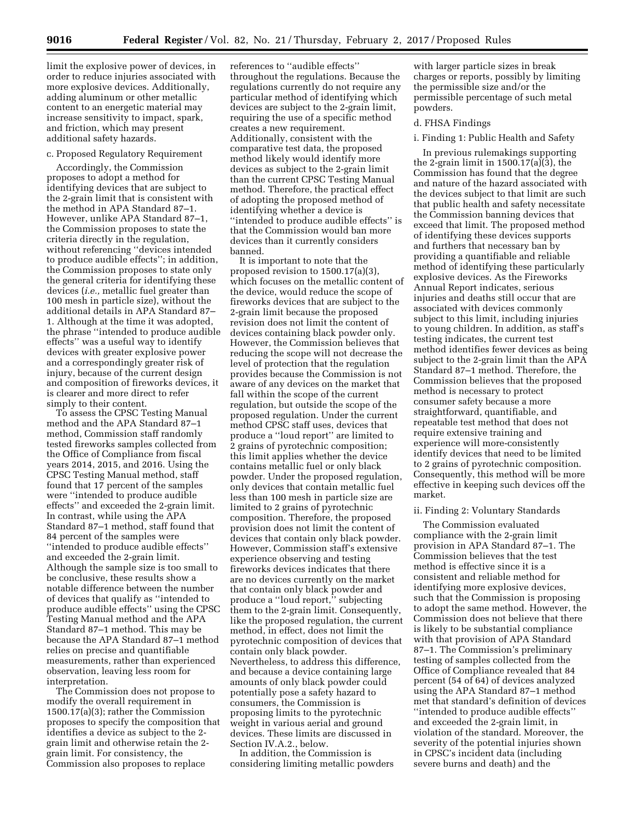limit the explosive power of devices, in order to reduce injuries associated with more explosive devices. Additionally, adding aluminum or other metallic content to an energetic material may increase sensitivity to impact, spark, and friction, which may present additional safety hazards.

## c. Proposed Regulatory Requirement

Accordingly, the Commission proposes to adopt a method for identifying devices that are subject to the 2-grain limit that is consistent with the method in APA Standard 87–1. However, unlike APA Standard 87–1, the Commission proposes to state the criteria directly in the regulation, without referencing ''devices intended to produce audible effects''; in addition, the Commission proposes to state only the general criteria for identifying these devices (*i.e.,* metallic fuel greater than 100 mesh in particle size), without the additional details in APA Standard 87– 1. Although at the time it was adopted, the phrase ''intended to produce audible effects'' was a useful way to identify devices with greater explosive power and a correspondingly greater risk of injury, because of the current design and composition of fireworks devices, it is clearer and more direct to refer simply to their content.

To assess the CPSC Testing Manual method and the APA Standard 87–1 method, Commission staff randomly tested fireworks samples collected from the Office of Compliance from fiscal years 2014, 2015, and 2016. Using the CPSC Testing Manual method, staff found that 17 percent of the samples were ''intended to produce audible effects'' and exceeded the 2-grain limit. In contrast, while using the APA Standard 87–1 method, staff found that 84 percent of the samples were ''intended to produce audible effects'' and exceeded the 2-grain limit. Although the sample size is too small to be conclusive, these results show a notable difference between the number of devices that qualify as ''intended to produce audible effects'' using the CPSC Testing Manual method and the APA Standard 87–1 method. This may be because the APA Standard 87–1 method relies on precise and quantifiable measurements, rather than experienced observation, leaving less room for interpretation.

The Commission does not propose to modify the overall requirement in 1500.17(a)(3); rather the Commission proposes to specify the composition that identifies a device as subject to the 2 grain limit and otherwise retain the 2 grain limit. For consistency, the Commission also proposes to replace

references to ''audible effects'' throughout the regulations. Because the regulations currently do not require any particular method of identifying which devices are subject to the 2-grain limit, requiring the use of a specific method creates a new requirement. Additionally, consistent with the comparative test data, the proposed method likely would identify more devices as subject to the 2-grain limit than the current CPSC Testing Manual method. Therefore, the practical effect of adopting the proposed method of identifying whether a device is ''intended to produce audible effects'' is that the Commission would ban more devices than it currently considers banned.

It is important to note that the proposed revision to 1500.17(a)(3), which focuses on the metallic content of the device, would reduce the scope of fireworks devices that are subject to the 2-grain limit because the proposed revision does not limit the content of devices containing black powder only. However, the Commission believes that reducing the scope will not decrease the level of protection that the regulation provides because the Commission is not aware of any devices on the market that fall within the scope of the current regulation, but outside the scope of the proposed regulation. Under the current method CPSC staff uses, devices that produce a ''loud report'' are limited to 2 grains of pyrotechnic composition; this limit applies whether the device contains metallic fuel or only black powder. Under the proposed regulation, only devices that contain metallic fuel less than 100 mesh in particle size are limited to 2 grains of pyrotechnic composition. Therefore, the proposed provision does not limit the content of devices that contain only black powder. However, Commission staff's extensive experience observing and testing fireworks devices indicates that there are no devices currently on the market that contain only black powder and produce a ''loud report,'' subjecting them to the 2-grain limit. Consequently, like the proposed regulation, the current method, in effect, does not limit the pyrotechnic composition of devices that contain only black powder. Nevertheless, to address this difference, and because a device containing large amounts of only black powder could potentially pose a safety hazard to consumers, the Commission is proposing limits to the pyrotechnic weight in various aerial and ground devices. These limits are discussed in Section IV.A.2., below.

In addition, the Commission is considering limiting metallic powders

with larger particle sizes in break charges or reports, possibly by limiting the permissible size and/or the permissible percentage of such metal powders.

#### d. FHSA Findings

#### i. Finding 1: Public Health and Safety

In previous rulemakings supporting the 2-grain limit in 1500.17(a)(3), the Commission has found that the degree and nature of the hazard associated with the devices subject to that limit are such that public health and safety necessitate the Commission banning devices that exceed that limit. The proposed method of identifying these devices supports and furthers that necessary ban by providing a quantifiable and reliable method of identifying these particularly explosive devices. As the Fireworks Annual Report indicates, serious injuries and deaths still occur that are associated with devices commonly subject to this limit, including injuries to young children. In addition, as staff's testing indicates, the current test method identifies fewer devices as being subject to the 2-grain limit than the APA Standard 87–1 method. Therefore, the Commission believes that the proposed method is necessary to protect consumer safety because a more straightforward, quantifiable, and repeatable test method that does not require extensive training and experience will more-consistently identify devices that need to be limited to 2 grains of pyrotechnic composition. Consequently, this method will be more effective in keeping such devices off the market.

#### ii. Finding 2: Voluntary Standards

The Commission evaluated compliance with the 2-grain limit provision in APA Standard 87–1. The Commission believes that the test method is effective since it is a consistent and reliable method for identifying more explosive devices, such that the Commission is proposing to adopt the same method. However, the Commission does not believe that there is likely to be substantial compliance with that provision of APA Standard 87–1. The Commission's preliminary testing of samples collected from the Office of Compliance revealed that 84 percent (54 of 64) of devices analyzed using the APA Standard 87–1 method met that standard's definition of devices ''intended to produce audible effects'' and exceeded the 2-grain limit, in violation of the standard. Moreover, the severity of the potential injuries shown in CPSC's incident data (including severe burns and death) and the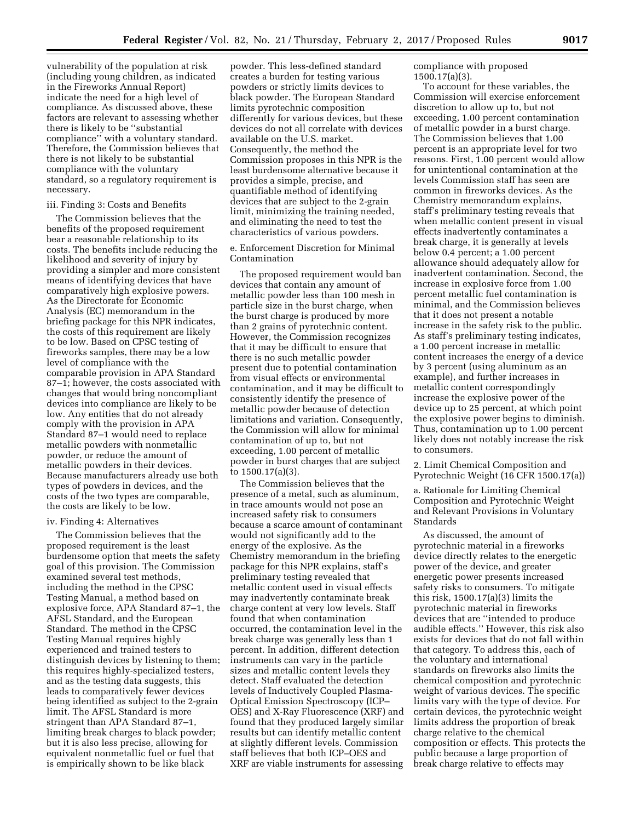vulnerability of the population at risk (including young children, as indicated in the Fireworks Annual Report) indicate the need for a high level of compliance. As discussed above, these factors are relevant to assessing whether there is likely to be ''substantial compliance'' with a voluntary standard. Therefore, the Commission believes that there is not likely to be substantial compliance with the voluntary standard, so a regulatory requirement is necessary.

#### iii. Finding 3: Costs and Benefits

The Commission believes that the benefits of the proposed requirement bear a reasonable relationship to its costs. The benefits include reducing the likelihood and severity of injury by providing a simpler and more consistent means of identifying devices that have comparatively high explosive powers. As the Directorate for Economic Analysis (EC) memorandum in the briefing package for this NPR indicates, the costs of this requirement are likely to be low. Based on CPSC testing of fireworks samples, there may be a low level of compliance with the comparable provision in APA Standard 87–1; however, the costs associated with changes that would bring noncompliant devices into compliance are likely to be low. Any entities that do not already comply with the provision in APA Standard 87–1 would need to replace metallic powders with nonmetallic powder, or reduce the amount of metallic powders in their devices. Because manufacturers already use both types of powders in devices, and the costs of the two types are comparable, the costs are likely to be low.

#### iv. Finding 4: Alternatives

The Commission believes that the proposed requirement is the least burdensome option that meets the safety goal of this provision. The Commission examined several test methods, including the method in the CPSC Testing Manual, a method based on explosive force, APA Standard 87–1, the AFSL Standard, and the European Standard. The method in the CPSC Testing Manual requires highly experienced and trained testers to distinguish devices by listening to them; this requires highly-specialized testers, and as the testing data suggests, this leads to comparatively fewer devices being identified as subject to the 2-grain limit. The AFSL Standard is more stringent than APA Standard 87–1, limiting break charges to black powder; but it is also less precise, allowing for equivalent nonmetallic fuel or fuel that is empirically shown to be like black

powder. This less-defined standard creates a burden for testing various powders or strictly limits devices to black powder. The European Standard limits pyrotechnic composition differently for various devices, but these devices do not all correlate with devices available on the U.S. market. Consequently, the method the Commission proposes in this NPR is the least burdensome alternative because it provides a simple, precise, and quantifiable method of identifying devices that are subject to the 2-grain limit, minimizing the training needed, and eliminating the need to test the characteristics of various powders.

## e. Enforcement Discretion for Minimal Contamination

The proposed requirement would ban devices that contain any amount of metallic powder less than 100 mesh in particle size in the burst charge, when the burst charge is produced by more than 2 grains of pyrotechnic content. However, the Commission recognizes that it may be difficult to ensure that there is no such metallic powder present due to potential contamination from visual effects or environmental contamination, and it may be difficult to consistently identify the presence of metallic powder because of detection limitations and variation. Consequently, the Commission will allow for minimal contamination of up to, but not exceeding, 1.00 percent of metallic powder in burst charges that are subject to 1500.17(a)(3).

The Commission believes that the presence of a metal, such as aluminum, in trace amounts would not pose an increased safety risk to consumers because a scarce amount of contaminant would not significantly add to the energy of the explosive. As the Chemistry memorandum in the briefing package for this NPR explains, staff's preliminary testing revealed that metallic content used in visual effects may inadvertently contaminate break charge content at very low levels. Staff found that when contamination occurred, the contamination level in the break charge was generally less than 1 percent. In addition, different detection instruments can vary in the particle sizes and metallic content levels they detect. Staff evaluated the detection levels of Inductively Coupled Plasma-Optical Emission Spectroscopy (ICP– OES) and X-Ray Fluorescence (XRF) and found that they produced largely similar results but can identify metallic content at slightly different levels. Commission staff believes that both ICP–OES and XRF are viable instruments for assessing

compliance with proposed 1500.17(a)(3).

To account for these variables, the Commission will exercise enforcement discretion to allow up to, but not exceeding, 1.00 percent contamination of metallic powder in a burst charge. The Commission believes that 1.00 percent is an appropriate level for two reasons. First, 1.00 percent would allow for unintentional contamination at the levels Commission staff has seen are common in fireworks devices. As the Chemistry memorandum explains, staff's preliminary testing reveals that when metallic content present in visual effects inadvertently contaminates a break charge, it is generally at levels below 0.4 percent; a 1.00 percent allowance should adequately allow for inadvertent contamination. Second, the increase in explosive force from 1.00 percent metallic fuel contamination is minimal, and the Commission believes that it does not present a notable increase in the safety risk to the public. As staff's preliminary testing indicates, a 1.00 percent increase in metallic content increases the energy of a device by 3 percent (using aluminum as an example), and further increases in metallic content correspondingly increase the explosive power of the device up to 25 percent, at which point the explosive power begins to diminish. Thus, contamination up to 1.00 percent likely does not notably increase the risk to consumers.

2. Limit Chemical Composition and Pyrotechnic Weight (16 CFR 1500.17(a))

a. Rationale for Limiting Chemical Composition and Pyrotechnic Weight and Relevant Provisions in Voluntary Standards

As discussed, the amount of pyrotechnic material in a fireworks device directly relates to the energetic power of the device, and greater energetic power presents increased safety risks to consumers. To mitigate this risk, 1500.17(a)(3) limits the pyrotechnic material in fireworks devices that are ''intended to produce audible effects.'' However, this risk also exists for devices that do not fall within that category. To address this, each of the voluntary and international standards on fireworks also limits the chemical composition and pyrotechnic weight of various devices. The specific limits vary with the type of device. For certain devices, the pyrotechnic weight limits address the proportion of break charge relative to the chemical composition or effects. This protects the public because a large proportion of break charge relative to effects may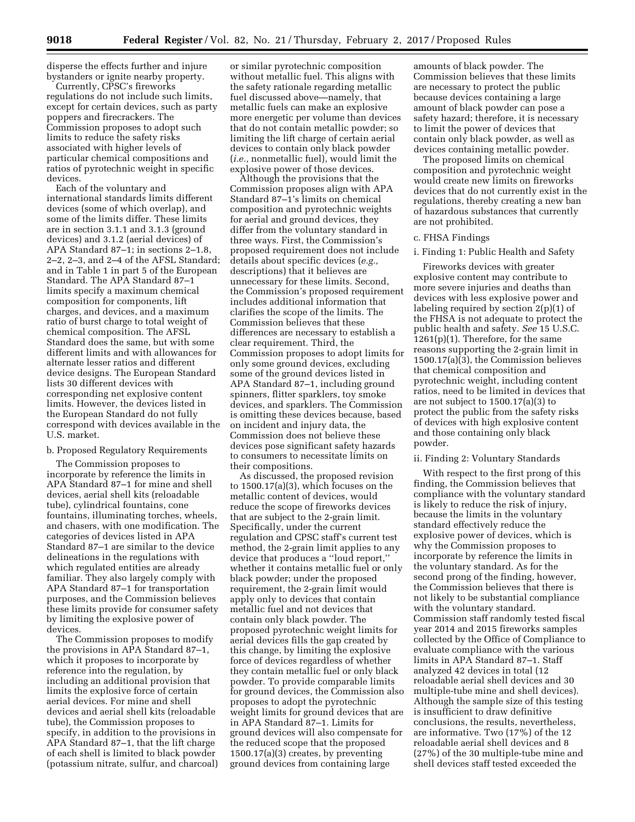disperse the effects further and injure bystanders or ignite nearby property.

Currently, CPSC's fireworks regulations do not include such limits, except for certain devices, such as party poppers and firecrackers. The Commission proposes to adopt such limits to reduce the safety risks associated with higher levels of particular chemical compositions and ratios of pyrotechnic weight in specific devices.

Each of the voluntary and international standards limits different devices (some of which overlap), and some of the limits differ. These limits are in section 3.1.1 and 3.1.3 (ground devices) and 3.1.2 (aerial devices) of APA Standard 87–1; in sections 2–1.8, 2–2, 2–3, and 2–4 of the AFSL Standard; and in Table 1 in part 5 of the European Standard. The APA Standard 87–1 limits specify a maximum chemical composition for components, lift charges, and devices, and a maximum ratio of burst charge to total weight of chemical composition. The AFSL Standard does the same, but with some different limits and with allowances for alternate lesser ratios and different device designs. The European Standard lists 30 different devices with corresponding net explosive content limits. However, the devices listed in the European Standard do not fully correspond with devices available in the U.S. market.

## b. Proposed Regulatory Requirements

The Commission proposes to incorporate by reference the limits in APA Standard 87–1 for mine and shell devices, aerial shell kits (reloadable tube), cylindrical fountains, cone fountains, illuminating torches, wheels, and chasers, with one modification. The categories of devices listed in APA Standard 87–1 are similar to the device delineations in the regulations with which regulated entities are already familiar. They also largely comply with APA Standard 87–1 for transportation purposes, and the Commission believes these limits provide for consumer safety by limiting the explosive power of devices.

The Commission proposes to modify the provisions in APA Standard 87–1, which it proposes to incorporate by reference into the regulation, by including an additional provision that limits the explosive force of certain aerial devices. For mine and shell devices and aerial shell kits (reloadable tube), the Commission proposes to specify, in addition to the provisions in APA Standard 87–1, that the lift charge of each shell is limited to black powder (potassium nitrate, sulfur, and charcoal)

or similar pyrotechnic composition without metallic fuel. This aligns with the safety rationale regarding metallic fuel discussed above—namely, that metallic fuels can make an explosive more energetic per volume than devices that do not contain metallic powder; so limiting the lift charge of certain aerial devices to contain only black powder (*i.e.,* nonmetallic fuel), would limit the explosive power of those devices.

Although the provisions that the Commission proposes align with APA Standard 87–1's limits on chemical composition and pyrotechnic weights for aerial and ground devices, they differ from the voluntary standard in three ways. First, the Commission's proposed requirement does not include details about specific devices (*e.g.,*  descriptions) that it believes are unnecessary for these limits. Second, the Commission's proposed requirement includes additional information that clarifies the scope of the limits. The Commission believes that these differences are necessary to establish a clear requirement. Third, the Commission proposes to adopt limits for only some ground devices, excluding some of the ground devices listed in APA Standard 87–1, including ground spinners, flitter sparklers, toy smoke devices, and sparklers. The Commission is omitting these devices because, based on incident and injury data, the Commission does not believe these devices pose significant safety hazards to consumers to necessitate limits on their compositions.

As discussed, the proposed revision to 1500.17(a)(3), which focuses on the metallic content of devices, would reduce the scope of fireworks devices that are subject to the 2-grain limit. Specifically, under the current regulation and CPSC staff's current test method, the 2-grain limit applies to any device that produces a ''loud report,'' whether it contains metallic fuel or only black powder; under the proposed requirement, the 2-grain limit would apply only to devices that contain metallic fuel and not devices that contain only black powder. The proposed pyrotechnic weight limits for aerial devices fills the gap created by this change, by limiting the explosive force of devices regardless of whether they contain metallic fuel or only black powder. To provide comparable limits for ground devices, the Commission also proposes to adopt the pyrotechnic weight limits for ground devices that are in APA Standard 87–1. Limits for ground devices will also compensate for the reduced scope that the proposed 1500.17(a)(3) creates, by preventing ground devices from containing large

amounts of black powder. The Commission believes that these limits are necessary to protect the public because devices containing a large amount of black powder can pose a safety hazard; therefore, it is necessary to limit the power of devices that contain only black powder, as well as devices containing metallic powder.

The proposed limits on chemical composition and pyrotechnic weight would create new limits on fireworks devices that do not currently exist in the regulations, thereby creating a new ban of hazardous substances that currently are not prohibited.

## c. FHSA Findings

#### i. Finding 1: Public Health and Safety

Fireworks devices with greater explosive content may contribute to more severe injuries and deaths than devices with less explosive power and labeling required by section 2(p)(1) of the FHSA is not adequate to protect the public health and safety. *See* 15 U.S.C.  $1261(p)(1)$ . Therefore, for the same reasons supporting the 2-grain limit in 1500.17(a)(3), the Commission believes that chemical composition and pyrotechnic weight, including content ratios, need to be limited in devices that are not subject to 1500.17(a)(3) to protect the public from the safety risks of devices with high explosive content and those containing only black powder.

## ii. Finding 2: Voluntary Standards

With respect to the first prong of this finding, the Commission believes that compliance with the voluntary standard is likely to reduce the risk of injury, because the limits in the voluntary standard effectively reduce the explosive power of devices, which is why the Commission proposes to incorporate by reference the limits in the voluntary standard. As for the second prong of the finding, however, the Commission believes that there is not likely to be substantial compliance with the voluntary standard. Commission staff randomly tested fiscal year 2014 and 2015 fireworks samples collected by the Office of Compliance to evaluate compliance with the various limits in APA Standard 87–1. Staff analyzed 42 devices in total (12 reloadable aerial shell devices and 30 multiple-tube mine and shell devices). Although the sample size of this testing is insufficient to draw definitive conclusions, the results, nevertheless, are informative. Two (17%) of the 12 reloadable aerial shell devices and 8 (27%) of the 30 multiple-tube mine and shell devices staff tested exceeded the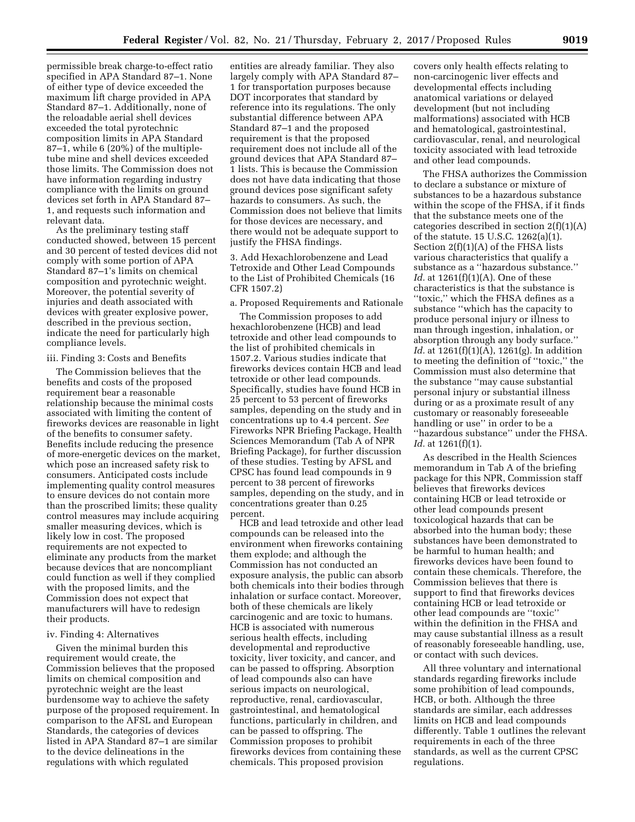permissible break charge-to-effect ratio specified in APA Standard 87–1. None of either type of device exceeded the maximum lift charge provided in APA Standard 87–1. Additionally, none of the reloadable aerial shell devices exceeded the total pyrotechnic composition limits in APA Standard 87–1, while 6 (20%) of the multipletube mine and shell devices exceeded those limits. The Commission does not have information regarding industry compliance with the limits on ground devices set forth in APA Standard 87– 1, and requests such information and relevant data.

As the preliminary testing staff conducted showed, between 15 percent and 30 percent of tested devices did not comply with some portion of APA Standard 87–1's limits on chemical composition and pyrotechnic weight. Moreover, the potential severity of injuries and death associated with devices with greater explosive power, described in the previous section, indicate the need for particularly high compliance levels.

## iii. Finding 3: Costs and Benefits

The Commission believes that the benefits and costs of the proposed requirement bear a reasonable relationship because the minimal costs associated with limiting the content of fireworks devices are reasonable in light of the benefits to consumer safety. Benefits include reducing the presence of more-energetic devices on the market, which pose an increased safety risk to consumers. Anticipated costs include implementing quality control measures to ensure devices do not contain more than the proscribed limits; these quality control measures may include acquiring smaller measuring devices, which is likely low in cost. The proposed requirements are not expected to eliminate any products from the market because devices that are noncompliant could function as well if they complied with the proposed limits, and the Commission does not expect that manufacturers will have to redesign their products.

#### iv. Finding 4: Alternatives

Given the minimal burden this requirement would create, the Commission believes that the proposed limits on chemical composition and pyrotechnic weight are the least burdensome way to achieve the safety purpose of the proposed requirement. In comparison to the AFSL and European Standards, the categories of devices listed in APA Standard 87–1 are similar to the device delineations in the regulations with which regulated

entities are already familiar. They also largely comply with APA Standard 87– 1 for transportation purposes because DOT incorporates that standard by reference into its regulations. The only substantial difference between APA Standard 87–1 and the proposed requirement is that the proposed requirement does not include all of the ground devices that APA Standard 87– 1 lists. This is because the Commission does not have data indicating that those ground devices pose significant safety hazards to consumers. As such, the Commission does not believe that limits for those devices are necessary, and there would not be adequate support to justify the FHSA findings.

3. Add Hexachlorobenzene and Lead Tetroxide and Other Lead Compounds to the List of Prohibited Chemicals (16 CFR 1507.2)

## a. Proposed Requirements and Rationale

The Commission proposes to add hexachlorobenzene (HCB) and lead tetroxide and other lead compounds to the list of prohibited chemicals in 1507.2. Various studies indicate that fireworks devices contain HCB and lead tetroxide or other lead compounds. Specifically, studies have found HCB in 25 percent to 53 percent of fireworks samples, depending on the study and in concentrations up to 4.4 percent. *See*  Fireworks NPR Briefing Package, Health Sciences Memorandum (Tab A of NPR Briefing Package), for further discussion of these studies. Testing by AFSL and CPSC has found lead compounds in 9 percent to 38 percent of fireworks samples, depending on the study, and in concentrations greater than 0.25 percent.

HCB and lead tetroxide and other lead compounds can be released into the environment when fireworks containing them explode; and although the Commission has not conducted an exposure analysis, the public can absorb both chemicals into their bodies through inhalation or surface contact. Moreover, both of these chemicals are likely carcinogenic and are toxic to humans. HCB is associated with numerous serious health effects, including developmental and reproductive toxicity, liver toxicity, and cancer, and can be passed to offspring. Absorption of lead compounds also can have serious impacts on neurological, reproductive, renal, cardiovascular, gastrointestinal, and hematological functions, particularly in children, and can be passed to offspring. The Commission proposes to prohibit fireworks devices from containing these chemicals. This proposed provision

covers only health effects relating to non-carcinogenic liver effects and developmental effects including anatomical variations or delayed development (but not including malformations) associated with HCB and hematological, gastrointestinal, cardiovascular, renal, and neurological toxicity associated with lead tetroxide and other lead compounds.

The FHSA authorizes the Commission to declare a substance or mixture of substances to be a hazardous substance within the scope of the FHSA, if it finds that the substance meets one of the categories described in section  $2(f)(1)(A)$ of the statute. 15 U.S.C. 1262(a)(1). Section 2(f)(1)(A) of the FHSA lists various characteristics that qualify a substance as a ''hazardous substance.'' *Id.* at 1261(f)(1)(A). One of these characteristics is that the substance is ''toxic,'' which the FHSA defines as a substance ''which has the capacity to produce personal injury or illness to man through ingestion, inhalation, or absorption through any body surface.'' *Id.* at 1261(f)(1)(A), 1261(g). In addition to meeting the definition of ''toxic,'' the Commission must also determine that the substance ''may cause substantial personal injury or substantial illness during or as a proximate result of any customary or reasonably foreseeable handling or use'' in order to be a ''hazardous substance'' under the FHSA. *Id.* at 1261(f)(1).

As described in the Health Sciences memorandum in Tab A of the briefing package for this NPR, Commission staff believes that fireworks devices containing HCB or lead tetroxide or other lead compounds present toxicological hazards that can be absorbed into the human body; these substances have been demonstrated to be harmful to human health; and fireworks devices have been found to contain these chemicals. Therefore, the Commission believes that there is support to find that fireworks devices containing HCB or lead tetroxide or other lead compounds are ''toxic'' within the definition in the FHSA and may cause substantial illness as a result of reasonably foreseeable handling, use, or contact with such devices.

All three voluntary and international standards regarding fireworks include some prohibition of lead compounds, HCB, or both. Although the three standards are similar, each addresses limits on HCB and lead compounds differently. Table 1 outlines the relevant requirements in each of the three standards, as well as the current CPSC regulations.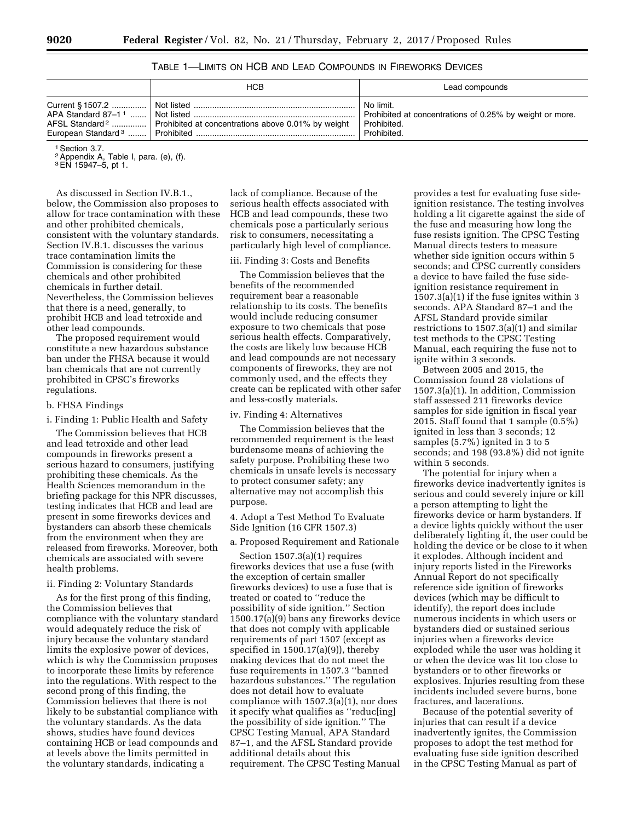# TABLE 1—LIMITS ON HCB AND LEAD COMPOUNDS IN FIREWORKS DEVICES

|                                  | <b>HCB</b>                                                                      | Lead compounds                          |
|----------------------------------|---------------------------------------------------------------------------------|-----------------------------------------|
| APA Standard $87-1$ <sup>1</sup> | AFSL Standard <sup>2</sup>   Prohibited at concentrations above 0.01% by weight | No limit.<br>Prohibited.<br>Prohibited. |

1Section 3.7.

2Appendix A, Table I, para. (e), (f).

3EN 15947–5, pt 1.

As discussed in Section IV.B.1., below, the Commission also proposes to allow for trace contamination with these and other prohibited chemicals, consistent with the voluntary standards. Section IV.B.1. discusses the various trace contamination limits the Commission is considering for these chemicals and other prohibited chemicals in further detail. Nevertheless, the Commission believes that there is a need, generally, to prohibit HCB and lead tetroxide and other lead compounds.

The proposed requirement would constitute a new hazardous substance ban under the FHSA because it would ban chemicals that are not currently prohibited in CPSC's fireworks regulations.

#### b. FHSA Findings

i. Finding 1: Public Health and Safety

The Commission believes that HCB and lead tetroxide and other lead compounds in fireworks present a serious hazard to consumers, justifying prohibiting these chemicals. As the Health Sciences memorandum in the briefing package for this NPR discusses, testing indicates that HCB and lead are present in some fireworks devices and bystanders can absorb these chemicals from the environment when they are released from fireworks. Moreover, both chemicals are associated with severe health problems.

#### ii. Finding 2: Voluntary Standards

As for the first prong of this finding, the Commission believes that compliance with the voluntary standard would adequately reduce the risk of injury because the voluntary standard limits the explosive power of devices, which is why the Commission proposes to incorporate these limits by reference into the regulations. With respect to the second prong of this finding, the Commission believes that there is not likely to be substantial compliance with the voluntary standards. As the data shows, studies have found devices containing HCB or lead compounds and at levels above the limits permitted in the voluntary standards, indicating a

lack of compliance. Because of the serious health effects associated with HCB and lead compounds, these two chemicals pose a particularly serious risk to consumers, necessitating a particularly high level of compliance.

## iii. Finding 3: Costs and Benefits

The Commission believes that the benefits of the recommended requirement bear a reasonable relationship to its costs. The benefits would include reducing consumer exposure to two chemicals that pose serious health effects. Comparatively, the costs are likely low because HCB and lead compounds are not necessary components of fireworks, they are not commonly used, and the effects they create can be replicated with other safer and less-costly materials.

#### iv. Finding 4: Alternatives

The Commission believes that the recommended requirement is the least burdensome means of achieving the safety purpose. Prohibiting these two chemicals in unsafe levels is necessary to protect consumer safety; any alternative may not accomplish this purpose.

4. Adopt a Test Method To Evaluate Side Ignition (16 CFR 1507.3)

a. Proposed Requirement and Rationale

Section 1507.3(a)(1) requires fireworks devices that use a fuse (with the exception of certain smaller fireworks devices) to use a fuse that is treated or coated to ''reduce the possibility of side ignition.'' Section 1500.17(a)(9) bans any fireworks device that does not comply with applicable requirements of part 1507 (except as specified in 1500.17(a)(9)), thereby making devices that do not meet the fuse requirements in 1507.3 ''banned hazardous substances.'' The regulation does not detail how to evaluate compliance with 1507.3(a)(1), nor does it specify what qualifies as ''reduc[ing] the possibility of side ignition.'' The CPSC Testing Manual, APA Standard 87–1, and the AFSL Standard provide additional details about this requirement. The CPSC Testing Manual

provides a test for evaluating fuse sideignition resistance. The testing involves holding a lit cigarette against the side of the fuse and measuring how long the fuse resists ignition. The CPSC Testing Manual directs testers to measure whether side ignition occurs within 5 seconds; and CPSC currently considers a device to have failed the fuse sideignition resistance requirement in 1507.3(a)(1) if the fuse ignites within 3 seconds. APA Standard 87–1 and the AFSL Standard provide similar restrictions to 1507.3(a)(1) and similar test methods to the CPSC Testing Manual, each requiring the fuse not to ignite within 3 seconds.

Between 2005 and 2015, the Commission found 28 violations of 1507.3(a)(1). In addition, Commission staff assessed 211 fireworks device samples for side ignition in fiscal year 2015. Staff found that 1 sample (0.5%) ignited in less than 3 seconds; 12 samples (5.7%) ignited in 3 to 5 seconds; and 198 (93.8%) did not ignite within 5 seconds.

The potential for injury when a fireworks device inadvertently ignites is serious and could severely injure or kill a person attempting to light the fireworks device or harm bystanders. If a device lights quickly without the user deliberately lighting it, the user could be holding the device or be close to it when it explodes. Although incident and injury reports listed in the Fireworks Annual Report do not specifically reference side ignition of fireworks devices (which may be difficult to identify), the report does include numerous incidents in which users or bystanders died or sustained serious injuries when a fireworks device exploded while the user was holding it or when the device was lit too close to bystanders or to other fireworks or explosives. Injuries resulting from these incidents included severe burns, bone fractures, and lacerations.

Because of the potential severity of injuries that can result if a device inadvertently ignites, the Commission proposes to adopt the test method for evaluating fuse side ignition described in the CPSC Testing Manual as part of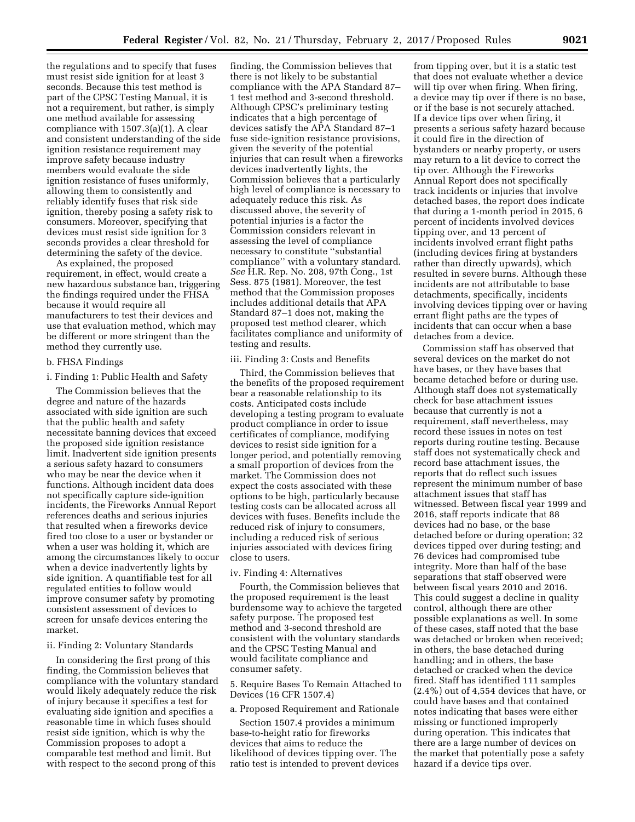the regulations and to specify that fuses must resist side ignition for at least 3 seconds. Because this test method is part of the CPSC Testing Manual, it is not a requirement, but rather, is simply one method available for assessing compliance with 1507.3(a)(1). A clear and consistent understanding of the side ignition resistance requirement may improve safety because industry members would evaluate the side ignition resistance of fuses uniformly, allowing them to consistently and reliably identify fuses that risk side ignition, thereby posing a safety risk to consumers. Moreover, specifying that devices must resist side ignition for 3 seconds provides a clear threshold for determining the safety of the device.

As explained, the proposed requirement, in effect, would create a new hazardous substance ban, triggering the findings required under the FHSA because it would require all manufacturers to test their devices and use that evaluation method, which may be different or more stringent than the method they currently use.

### b. FHSA Findings

#### i. Finding 1: Public Health and Safety

The Commission believes that the degree and nature of the hazards associated with side ignition are such that the public health and safety necessitate banning devices that exceed the proposed side ignition resistance limit. Inadvertent side ignition presents a serious safety hazard to consumers who may be near the device when it functions. Although incident data does not specifically capture side-ignition incidents, the Fireworks Annual Report references deaths and serious injuries that resulted when a fireworks device fired too close to a user or bystander or when a user was holding it, which are among the circumstances likely to occur when a device inadvertently lights by side ignition. A quantifiable test for all regulated entities to follow would improve consumer safety by promoting consistent assessment of devices to screen for unsafe devices entering the market.

## ii. Finding 2: Voluntary Standards

In considering the first prong of this finding, the Commission believes that compliance with the voluntary standard would likely adequately reduce the risk of injury because it specifies a test for evaluating side ignition and specifies a reasonable time in which fuses should resist side ignition, which is why the Commission proposes to adopt a comparable test method and limit. But with respect to the second prong of this

finding, the Commission believes that there is not likely to be substantial compliance with the APA Standard 87– 1 test method and 3-second threshold. Although CPSC's preliminary testing indicates that a high percentage of devices satisfy the APA Standard 87–1 fuse side-ignition resistance provisions, given the severity of the potential injuries that can result when a fireworks devices inadvertently lights, the Commission believes that a particularly high level of compliance is necessary to adequately reduce this risk. As discussed above, the severity of potential injuries is a factor the Commission considers relevant in assessing the level of compliance necessary to constitute ''substantial compliance'' with a voluntary standard. *See* H.R. Rep. No. 208, 97th Cong., 1st Sess. 875 (1981). Moreover, the test method that the Commission proposes includes additional details that APA Standard 87–1 does not, making the proposed test method clearer, which facilitates compliance and uniformity of testing and results.

#### iii. Finding 3: Costs and Benefits

Third, the Commission believes that the benefits of the proposed requirement bear a reasonable relationship to its costs. Anticipated costs include developing a testing program to evaluate product compliance in order to issue certificates of compliance, modifying devices to resist side ignition for a longer period, and potentially removing a small proportion of devices from the market. The Commission does not expect the costs associated with these options to be high, particularly because testing costs can be allocated across all devices with fuses. Benefits include the reduced risk of injury to consumers, including a reduced risk of serious injuries associated with devices firing close to users.

#### iv. Finding 4: Alternatives

Fourth, the Commission believes that the proposed requirement is the least burdensome way to achieve the targeted safety purpose. The proposed test method and 3-second threshold are consistent with the voluntary standards and the CPSC Testing Manual and would facilitate compliance and consumer safety.

## 5. Require Bases To Remain Attached to Devices (16 CFR 1507.4)

## a. Proposed Requirement and Rationale

Section 1507.4 provides a minimum base-to-height ratio for fireworks devices that aims to reduce the likelihood of devices tipping over. The ratio test is intended to prevent devices

from tipping over, but it is a static test that does not evaluate whether a device will tip over when firing. When firing, a device may tip over if there is no base, or if the base is not securely attached. If a device tips over when firing, it presents a serious safety hazard because it could fire in the direction of bystanders or nearby property, or users may return to a lit device to correct the tip over. Although the Fireworks Annual Report does not specifically track incidents or injuries that involve detached bases, the report does indicate that during a 1-month period in 2015, 6 percent of incidents involved devices tipping over, and 13 percent of incidents involved errant flight paths (including devices firing at bystanders rather than directly upwards), which resulted in severe burns. Although these incidents are not attributable to base detachments, specifically, incidents involving devices tipping over or having errant flight paths are the types of incidents that can occur when a base detaches from a device.

Commission staff has observed that several devices on the market do not have bases, or they have bases that became detached before or during use. Although staff does not systematically check for base attachment issues because that currently is not a requirement, staff nevertheless, may record these issues in notes on test reports during routine testing. Because staff does not systematically check and record base attachment issues, the reports that do reflect such issues represent the minimum number of base attachment issues that staff has witnessed. Between fiscal year 1999 and 2016, staff reports indicate that 88 devices had no base, or the base detached before or during operation; 32 devices tipped over during testing; and 76 devices had compromised tube integrity. More than half of the base separations that staff observed were between fiscal years 2010 and 2016. This could suggest a decline in quality control, although there are other possible explanations as well. In some of these cases, staff noted that the base was detached or broken when received; in others, the base detached during handling; and in others, the base detached or cracked when the device fired. Staff has identified 111 samples (2.4%) out of 4,554 devices that have, or could have bases and that contained notes indicating that bases were either missing or functioned improperly during operation. This indicates that there are a large number of devices on the market that potentially pose a safety hazard if a device tips over.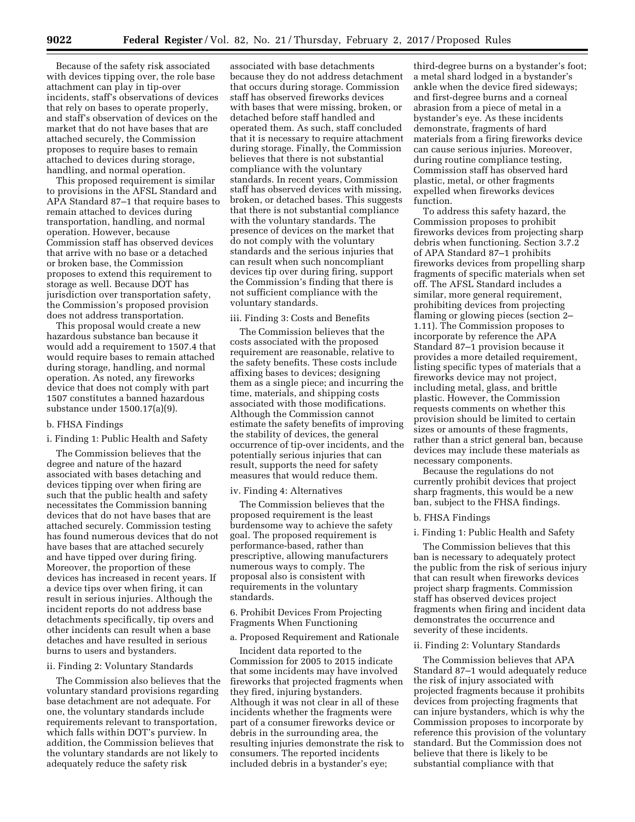Because of the safety risk associated with devices tipping over, the role base attachment can play in tip-over incidents, staff's observations of devices that rely on bases to operate properly, and staff's observation of devices on the market that do not have bases that are attached securely, the Commission proposes to require bases to remain attached to devices during storage, handling, and normal operation.

This proposed requirement is similar to provisions in the AFSL Standard and APA Standard 87–1 that require bases to remain attached to devices during transportation, handling, and normal operation. However, because Commission staff has observed devices that arrive with no base or a detached or broken base, the Commission proposes to extend this requirement to storage as well. Because DOT has jurisdiction over transportation safety, the Commission's proposed provision does not address transportation.

This proposal would create a new hazardous substance ban because it would add a requirement to 1507.4 that would require bases to remain attached during storage, handling, and normal operation. As noted, any fireworks device that does not comply with part 1507 constitutes a banned hazardous substance under 1500.17(a)(9).

#### b. FHSA Findings

i. Finding 1: Public Health and Safety

The Commission believes that the degree and nature of the hazard associated with bases detaching and devices tipping over when firing are such that the public health and safety necessitates the Commission banning devices that do not have bases that are attached securely. Commission testing has found numerous devices that do not have bases that are attached securely and have tipped over during firing. Moreover, the proportion of these devices has increased in recent years. If a device tips over when firing, it can result in serious injuries. Although the incident reports do not address base detachments specifically, tip overs and other incidents can result when a base detaches and have resulted in serious burns to users and bystanders.

#### ii. Finding 2: Voluntary Standards

The Commission also believes that the voluntary standard provisions regarding base detachment are not adequate. For one, the voluntary standards include requirements relevant to transportation, which falls within DOT's purview. In addition, the Commission believes that the voluntary standards are not likely to adequately reduce the safety risk

associated with base detachments because they do not address detachment that occurs during storage. Commission staff has observed fireworks devices with bases that were missing, broken, or detached before staff handled and operated them. As such, staff concluded that it is necessary to require attachment during storage. Finally, the Commission believes that there is not substantial compliance with the voluntary standards. In recent years, Commission staff has observed devices with missing, broken, or detached bases. This suggests that there is not substantial compliance with the voluntary standards. The presence of devices on the market that do not comply with the voluntary standards and the serious injuries that can result when such noncompliant devices tip over during firing, support the Commission's finding that there is not sufficient compliance with the voluntary standards.

#### iii. Finding 3: Costs and Benefits

The Commission believes that the costs associated with the proposed requirement are reasonable, relative to the safety benefits. These costs include affixing bases to devices; designing them as a single piece; and incurring the time, materials, and shipping costs associated with those modifications. Although the Commission cannot estimate the safety benefits of improving the stability of devices, the general occurrence of tip-over incidents, and the potentially serious injuries that can result, supports the need for safety measures that would reduce them.

#### iv. Finding 4: Alternatives

The Commission believes that the proposed requirement is the least burdensome way to achieve the safety goal. The proposed requirement is performance-based, rather than prescriptive, allowing manufacturers numerous ways to comply. The proposal also is consistent with requirements in the voluntary standards.

6. Prohibit Devices From Projecting Fragments When Functioning

#### a. Proposed Requirement and Rationale

Incident data reported to the Commission for 2005 to 2015 indicate that some incidents may have involved fireworks that projected fragments when they fired, injuring bystanders. Although it was not clear in all of these incidents whether the fragments were part of a consumer fireworks device or debris in the surrounding area, the resulting injuries demonstrate the risk to consumers. The reported incidents included debris in a bystander's eye;

third-degree burns on a bystander's foot; a metal shard lodged in a bystander's ankle when the device fired sideways; and first-degree burns and a corneal abrasion from a piece of metal in a bystander's eye. As these incidents demonstrate, fragments of hard materials from a firing fireworks device can cause serious injuries. Moreover, during routine compliance testing, Commission staff has observed hard plastic, metal, or other fragments expelled when fireworks devices function.

To address this safety hazard, the Commission proposes to prohibit fireworks devices from projecting sharp debris when functioning. Section 3.7.2 of APA Standard 87–1 prohibits fireworks devices from propelling sharp fragments of specific materials when set off. The AFSL Standard includes a similar, more general requirement, prohibiting devices from projecting flaming or glowing pieces (section 2– 1.11). The Commission proposes to incorporate by reference the APA Standard 87–1 provision because it provides a more detailed requirement, listing specific types of materials that a fireworks device may not project, including metal, glass, and brittle plastic. However, the Commission requests comments on whether this provision should be limited to certain sizes or amounts of these fragments, rather than a strict general ban, because devices may include these materials as necessary components.

Because the regulations do not currently prohibit devices that project sharp fragments, this would be a new ban, subject to the FHSA findings.

## b. FHSA Findings

#### i. Finding 1: Public Health and Safety

The Commission believes that this ban is necessary to adequately protect the public from the risk of serious injury that can result when fireworks devices project sharp fragments. Commission staff has observed devices project fragments when firing and incident data demonstrates the occurrence and severity of these incidents.

#### ii. Finding 2: Voluntary Standards

The Commission believes that APA Standard 87–1 would adequately reduce the risk of injury associated with projected fragments because it prohibits devices from projecting fragments that can injure bystanders, which is why the Commission proposes to incorporate by reference this provision of the voluntary standard. But the Commission does not believe that there is likely to be substantial compliance with that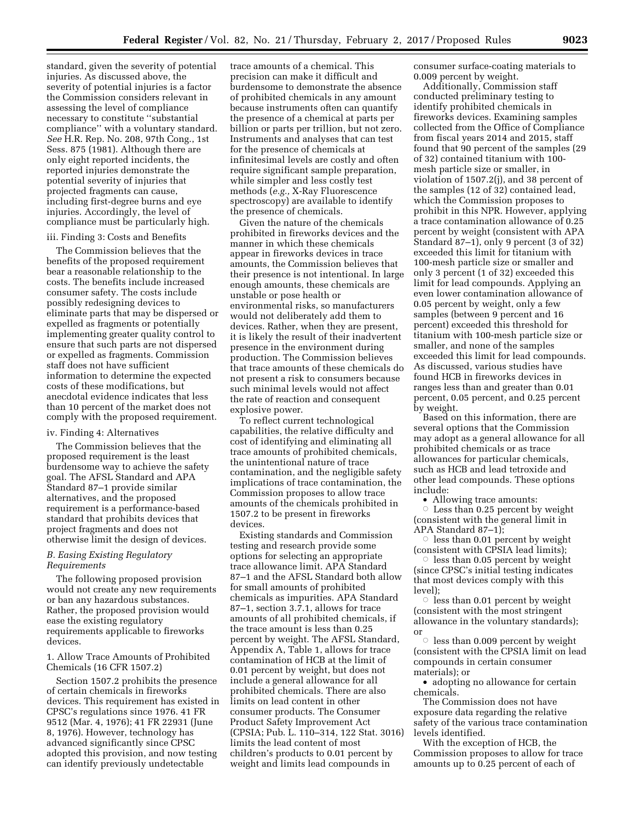standard, given the severity of potential injuries. As discussed above, the severity of potential injuries is a factor the Commission considers relevant in assessing the level of compliance necessary to constitute ''substantial compliance'' with a voluntary standard. *See* H.R. Rep. No. 208, 97th Cong., 1st Sess. 875 (1981). Although there are only eight reported incidents, the reported injuries demonstrate the potential severity of injuries that projected fragments can cause, including first-degree burns and eye injuries. Accordingly, the level of compliance must be particularly high.

## iii. Finding 3: Costs and Benefits

The Commission believes that the benefits of the proposed requirement bear a reasonable relationship to the costs. The benefits include increased consumer safety. The costs include possibly redesigning devices to eliminate parts that may be dispersed or expelled as fragments or potentially implementing greater quality control to ensure that such parts are not dispersed or expelled as fragments. Commission staff does not have sufficient information to determine the expected costs of these modifications, but anecdotal evidence indicates that less than 10 percent of the market does not comply with the proposed requirement.

## iv. Finding 4: Alternatives

The Commission believes that the proposed requirement is the least burdensome way to achieve the safety goal. The AFSL Standard and APA Standard 87–1 provide similar alternatives, and the proposed requirement is a performance-based standard that prohibits devices that project fragments and does not otherwise limit the design of devices.

## *B. Easing Existing Regulatory Requirements*

The following proposed provision would not create any new requirements or ban any hazardous substances. Rather, the proposed provision would ease the existing regulatory requirements applicable to fireworks devices.

## 1. Allow Trace Amounts of Prohibited Chemicals (16 CFR 1507.2)

Section 1507.2 prohibits the presence of certain chemicals in fireworks devices. This requirement has existed in CPSC's regulations since 1976. 41 FR 9512 (Mar. 4, 1976); 41 FR 22931 (June 8, 1976). However, technology has advanced significantly since CPSC adopted this provision, and now testing can identify previously undetectable

trace amounts of a chemical. This precision can make it difficult and burdensome to demonstrate the absence of prohibited chemicals in any amount because instruments often can quantify the presence of a chemical at parts per billion or parts per trillion, but not zero. Instruments and analyses that can test for the presence of chemicals at infinitesimal levels are costly and often require significant sample preparation, while simpler and less costly test methods (*e.g.,* X-Ray Fluorescence spectroscopy) are available to identify the presence of chemicals.

Given the nature of the chemicals prohibited in fireworks devices and the manner in which these chemicals appear in fireworks devices in trace amounts, the Commission believes that their presence is not intentional. In large enough amounts, these chemicals are unstable or pose health or environmental risks, so manufacturers would not deliberately add them to devices. Rather, when they are present, it is likely the result of their inadvertent presence in the environment during production. The Commission believes that trace amounts of these chemicals do not present a risk to consumers because such minimal levels would not affect the rate of reaction and consequent explosive power.

To reflect current technological capabilities, the relative difficulty and cost of identifying and eliminating all trace amounts of prohibited chemicals, the unintentional nature of trace contamination, and the negligible safety implications of trace contamination, the Commission proposes to allow trace amounts of the chemicals prohibited in 1507.2 to be present in fireworks devices.

Existing standards and Commission testing and research provide some options for selecting an appropriate trace allowance limit. APA Standard 87–1 and the AFSL Standard both allow for small amounts of prohibited chemicals as impurities. APA Standard 87–1, section 3.7.1, allows for trace amounts of all prohibited chemicals, if the trace amount is less than 0.25 percent by weight. The AFSL Standard, Appendix A, Table 1, allows for trace contamination of HCB at the limit of 0.01 percent by weight, but does not include a general allowance for all prohibited chemicals. There are also limits on lead content in other consumer products. The Consumer Product Safety Improvement Act (CPSIA; Pub. L. 110–314, 122 Stat. 3016) limits the lead content of most children's products to 0.01 percent by weight and limits lead compounds in

consumer surface-coating materials to 0.009 percent by weight.

Additionally, Commission staff conducted preliminary testing to identify prohibited chemicals in fireworks devices. Examining samples collected from the Office of Compliance from fiscal years 2014 and 2015, staff found that 90 percent of the samples (29 of 32) contained titanium with 100 mesh particle size or smaller, in violation of 1507.2(j), and 38 percent of the samples (12 of 32) contained lead, which the Commission proposes to prohibit in this NPR. However, applying a trace contamination allowance of 0.25 percent by weight (consistent with APA Standard 87–1), only 9 percent (3 of 32) exceeded this limit for titanium with 100-mesh particle size or smaller and only 3 percent (1 of 32) exceeded this limit for lead compounds. Applying an even lower contamination allowance of 0.05 percent by weight, only a few samples (between 9 percent and 16 percent) exceeded this threshold for titanium with 100-mesh particle size or smaller, and none of the samples exceeded this limit for lead compounds. As discussed, various studies have found HCB in fireworks devices in ranges less than and greater than 0.01 percent, 0.05 percent, and 0.25 percent by weight.

Based on this information, there are several options that the Commission may adopt as a general allowance for all prohibited chemicals or as trace allowances for particular chemicals, such as HCB and lead tetroxide and other lead compounds. These options include:

• Allowing trace amounts:  $\circ$  Less than 0.25 percent by weight (consistent with the general limit in APA Standard 87–1);

 $\circ$  less than 0.01 percent by weight (consistent with CPSIA lead limits);

 $\circ$  less than 0.05 percent by weight (since CPSC's initial testing indicates that most devices comply with this level);

 $\circ$  less than 0.01 percent by weight (consistent with the most stringent allowance in the voluntary standards); or

 $\circ$  less than 0.009 percent by weight (consistent with the CPSIA limit on lead compounds in certain consumer materials); or

• adopting no allowance for certain chemicals.

The Commission does not have exposure data regarding the relative safety of the various trace contamination levels identified.

With the exception of HCB, the Commission proposes to allow for trace amounts up to 0.25 percent of each of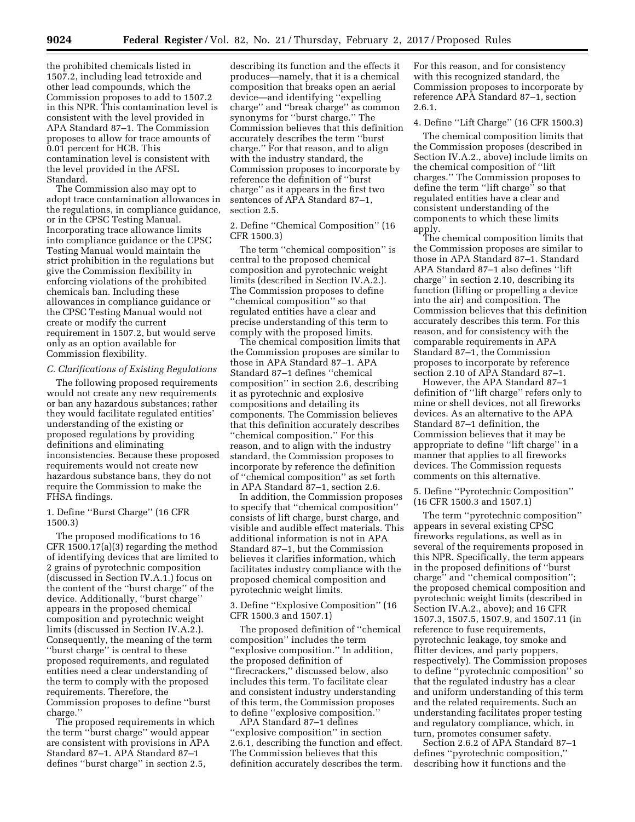the prohibited chemicals listed in 1507.2, including lead tetroxide and other lead compounds, which the Commission proposes to add to 1507.2 in this NPR. This contamination level is consistent with the level provided in APA Standard 87–1. The Commission proposes to allow for trace amounts of 0.01 percent for HCB. This contamination level is consistent with the level provided in the AFSL Standard.

The Commission also may opt to adopt trace contamination allowances in the regulations, in compliance guidance, or in the CPSC Testing Manual. Incorporating trace allowance limits into compliance guidance or the CPSC Testing Manual would maintain the strict prohibition in the regulations but give the Commission flexibility in enforcing violations of the prohibited chemicals ban. Including these allowances in compliance guidance or the CPSC Testing Manual would not create or modify the current requirement in 1507.2, but would serve only as an option available for Commission flexibility.

#### *C. Clarifications of Existing Regulations*

The following proposed requirements would not create any new requirements or ban any hazardous substances; rather they would facilitate regulated entities' understanding of the existing or proposed regulations by providing definitions and eliminating inconsistencies. Because these proposed requirements would not create new hazardous substance bans, they do not require the Commission to make the FHSA findings.

## 1. Define ''Burst Charge'' (16 CFR 1500.3)

The proposed modifications to 16 CFR 1500.17(a)(3) regarding the method of identifying devices that are limited to 2 grains of pyrotechnic composition (discussed in Section IV.A.1.) focus on the content of the ''burst charge'' of the device. Additionally, ''burst charge'' appears in the proposed chemical composition and pyrotechnic weight limits (discussed in Section IV.A.2.). Consequently, the meaning of the term ''burst charge'' is central to these proposed requirements, and regulated entities need a clear understanding of the term to comply with the proposed requirements. Therefore, the Commission proposes to define ''burst charge.''

The proposed requirements in which the term ''burst charge'' would appear are consistent with provisions in APA Standard 87–1. APA Standard 87–1 defines ''burst charge'' in section 2.5,

describing its function and the effects it produces—namely, that it is a chemical composition that breaks open an aerial device—and identifying ''expelling charge'' and ''break charge'' as common synonyms for ''burst charge.'' The Commission believes that this definition accurately describes the term ''burst charge.'' For that reason, and to align with the industry standard, the Commission proposes to incorporate by reference the definition of ''burst charge'' as it appears in the first two sentences of APA Standard 87–1, section 2.5.

2. Define ''Chemical Composition'' (16 CFR 1500.3)

The term ''chemical composition'' is central to the proposed chemical composition and pyrotechnic weight limits (described in Section IV.A.2.). The Commission proposes to define ''chemical composition'' so that regulated entities have a clear and precise understanding of this term to comply with the proposed limits.

The chemical composition limits that the Commission proposes are similar to those in APA Standard 87–1. APA Standard 87–1 defines ''chemical composition'' in section 2.6, describing it as pyrotechnic and explosive compositions and detailing its components. The Commission believes that this definition accurately describes ''chemical composition.'' For this reason, and to align with the industry standard, the Commission proposes to incorporate by reference the definition of ''chemical composition'' as set forth in APA Standard 87–1, section 2.6.

In addition, the Commission proposes to specify that ''chemical composition'' consists of lift charge, burst charge, and visible and audible effect materials. This additional information is not in APA Standard 87–1, but the Commission believes it clarifies information, which facilitates industry compliance with the proposed chemical composition and pyrotechnic weight limits.

3. Define ''Explosive Composition'' (16 CFR 1500.3 and 1507.1)

The proposed definition of ''chemical composition'' includes the term ''explosive composition.'' In addition, the proposed definition of ''firecrackers,'' discussed below, also includes this term. To facilitate clear and consistent industry understanding of this term, the Commission proposes to define ''explosive composition.''

APA Standard 87–1 defines "explosive composition" in section 2.6.1, describing the function and effect. The Commission believes that this definition accurately describes the term.

For this reason, and for consistency with this recognized standard, the Commission proposes to incorporate by reference APA Standard 87–1, section 2.6.1.

## 4. Define ''Lift Charge'' (16 CFR 1500.3)

The chemical composition limits that the Commission proposes (described in Section IV.A.2., above) include limits on the chemical composition of ''lift charges.'' The Commission proposes to define the term ''lift charge'' so that regulated entities have a clear and consistent understanding of the components to which these limits apply.

The chemical composition limits that the Commission proposes are similar to those in APA Standard 87–1. Standard APA Standard 87–1 also defines ''lift charge'' in section 2.10, describing its function (lifting or propelling a device into the air) and composition. The Commission believes that this definition accurately describes this term. For this reason, and for consistency with the comparable requirements in APA Standard 87–1, the Commission proposes to incorporate by reference section 2.10 of APA Standard 87-1.

However, the APA Standard 87–1 definition of ''lift charge'' refers only to mine or shell devices, not all fireworks devices. As an alternative to the APA Standard 87–1 definition, the Commission believes that it may be appropriate to define ''lift charge'' in a manner that applies to all fireworks devices. The Commission requests comments on this alternative.

5. Define ''Pyrotechnic Composition'' (16 CFR 1500.3 and 1507.1)

The term ''pyrotechnic composition'' appears in several existing CPSC fireworks regulations, as well as in several of the requirements proposed in this NPR. Specifically, the term appears in the proposed definitions of ''burst charge'' and ''chemical composition''; the proposed chemical composition and pyrotechnic weight limits (described in Section IV.A.2., above); and 16 CFR 1507.3, 1507.5, 1507.9, and 1507.11 (in reference to fuse requirements, pyrotechnic leakage, toy smoke and flitter devices, and party poppers, respectively). The Commission proposes to define ''pyrotechnic composition'' so that the regulated industry has a clear and uniform understanding of this term and the related requirements. Such an understanding facilitates proper testing and regulatory compliance, which, in turn, promotes consumer safety.

Section 2.6.2 of APA Standard 87–1 defines ''pyrotechnic composition,'' describing how it functions and the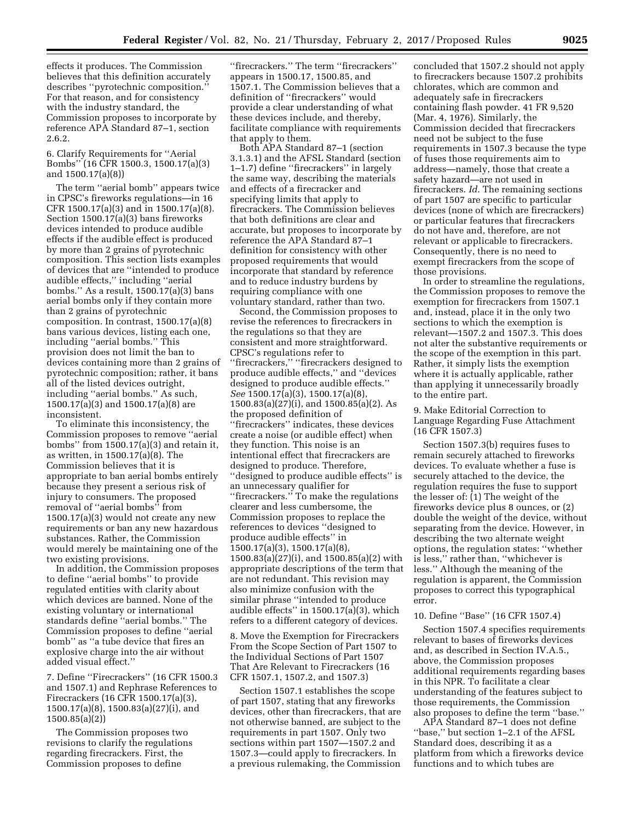effects it produces. The Commission believes that this definition accurately describes ''pyrotechnic composition.'' For that reason, and for consistency with the industry standard, the Commission proposes to incorporate by reference APA Standard 87–1, section 2.6.2.

6. Clarify Requirements for ''Aerial Bombs'' (16 CFR 1500.3, 1500.17(a)(3) and 1500.17(a)(8))

The term ''aerial bomb'' appears twice in CPSC's fireworks regulations—in 16 CFR 1500.17(a)(3) and in 1500.17(a)(8). Section 1500.17(a)(3) bans fireworks devices intended to produce audible effects if the audible effect is produced by more than 2 grains of pyrotechnic composition. This section lists examples of devices that are ''intended to produce audible effects,'' including ''aerial bombs.'' As a result, 1500.17(a)(3) bans aerial bombs only if they contain more than 2 grains of pyrotechnic composition. In contrast, 1500.17(a)(8) bans various devices, listing each one, including ''aerial bombs.'' This provision does not limit the ban to devices containing more than 2 grains of pyrotechnic composition; rather, it bans all of the listed devices outright, including ''aerial bombs.'' As such, 1500.17(a)(3) and 1500.17(a)(8) are inconsistent.

To eliminate this inconsistency, the Commission proposes to remove ''aerial bombs'' from 1500.17(a)(3) and retain it, as written, in 1500.17(a)(8). The Commission believes that it is appropriate to ban aerial bombs entirely because they present a serious risk of injury to consumers. The proposed removal of ''aerial bombs'' from 1500.17(a)(3) would not create any new requirements or ban any new hazardous substances. Rather, the Commission would merely be maintaining one of the two existing provisions.

In addition, the Commission proposes to define ''aerial bombs'' to provide regulated entities with clarity about which devices are banned. None of the existing voluntary or international standards define ''aerial bombs.'' The Commission proposes to define ''aerial bomb'' as ''a tube device that fires an explosive charge into the air without added visual effect.''

7. Define ''Firecrackers'' (16 CFR 1500.3 and 1507.1) and Rephrase References to Firecrackers (16 CFR 1500.17(a)(3), 1500.17(a)(8), 1500.83(a)(27)(i), and 1500.85(a)(2))

The Commission proposes two revisions to clarify the regulations regarding firecrackers. First, the Commission proposes to define

''firecrackers.'' The term ''firecrackers'' appears in 1500.17, 1500.85, and 1507.1. The Commission believes that a definition of ''firecrackers'' would provide a clear understanding of what these devices include, and thereby, facilitate compliance with requirements that apply to them.

Both APA Standard 87–1 (section 3.1.3.1) and the AFSL Standard (section 1–1.7) define ''firecrackers'' in largely the same way, describing the materials and effects of a firecracker and specifying limits that apply to firecrackers. The Commission believes that both definitions are clear and accurate, but proposes to incorporate by reference the APA Standard 87–1 definition for consistency with other proposed requirements that would incorporate that standard by reference and to reduce industry burdens by requiring compliance with one voluntary standard, rather than two.

Second, the Commission proposes to revise the references to firecrackers in the regulations so that they are consistent and more straightforward. CPSC's regulations refer to ''firecrackers,'' ''firecrackers designed to produce audible effects,'' and ''devices designed to produce audible effects.'' *See* 1500.17(a)(3), 1500.17(a)(8), 1500.83(a)(27)(i), and 1500.85(a)(2). As the proposed definition of ''firecrackers'' indicates, these devices create a noise (or audible effect) when they function. This noise is an intentional effect that firecrackers are designed to produce. Therefore, ''designed to produce audible effects'' is an unnecessary qualifier for ''firecrackers.'' To make the regulations clearer and less cumbersome, the Commission proposes to replace the references to devices ''designed to produce audible effects'' in 1500.17(a)(3), 1500.17(a)(8), 1500.83(a)(27)(i), and 1500.85(a)(2) with appropriate descriptions of the term that are not redundant. This revision may also minimize confusion with the similar phrase ''intended to produce audible effects'' in 1500.17(a)(3), which refers to a different category of devices.

8. Move the Exemption for Firecrackers From the Scope Section of Part 1507 to the Individual Sections of Part 1507 That Are Relevant to Firecrackers (16 CFR 1507.1, 1507.2, and 1507.3)

Section 1507.1 establishes the scope of part 1507, stating that any fireworks devices, other than firecrackers, that are not otherwise banned, are subject to the requirements in part 1507. Only two sections within part 1507—1507.2 and 1507.3—could apply to firecrackers. In a previous rulemaking, the Commission

concluded that 1507.2 should not apply to firecrackers because 1507.2 prohibits chlorates, which are common and adequately safe in firecrackers containing flash powder. 41 FR 9,520 (Mar. 4, 1976). Similarly, the Commission decided that firecrackers need not be subject to the fuse requirements in 1507.3 because the type of fuses those requirements aim to address—namely, those that create a safety hazard—are not used in firecrackers. *Id.* The remaining sections of part 1507 are specific to particular devices (none of which are firecrackers) or particular features that firecrackers do not have and, therefore, are not relevant or applicable to firecrackers. Consequently, there is no need to exempt firecrackers from the scope of those provisions.

In order to streamline the regulations, the Commission proposes to remove the exemption for firecrackers from 1507.1 and, instead, place it in the only two sections to which the exemption is relevant—1507.2 and 1507.3. This does not alter the substantive requirements or the scope of the exemption in this part. Rather, it simply lists the exemption where it is actually applicable, rather than applying it unnecessarily broadly to the entire part.

9. Make Editorial Correction to Language Regarding Fuse Attachment (16 CFR 1507.3)

Section 1507.3(b) requires fuses to remain securely attached to fireworks devices. To evaluate whether a fuse is securely attached to the device, the regulation requires the fuse to support the lesser of: (1) The weight of the fireworks device plus 8 ounces, or (2) double the weight of the device, without separating from the device. However, in describing the two alternate weight options, the regulation states: ''whether is less,'' rather than, ''whichever is less.'' Although the meaning of the regulation is apparent, the Commission proposes to correct this typographical error.

## 10. Define ''Base'' (16 CFR 1507.4)

Section 1507.4 specifies requirements relevant to bases of fireworks devices and, as described in Section IV.A.5., above, the Commission proposes additional requirements regarding bases in this NPR. To facilitate a clear understanding of the features subject to those requirements, the Commission also proposes to define the term ''base.''

APA Standard 87–1 does not define ''base,'' but section 1–2.1 of the AFSL Standard does, describing it as a platform from which a fireworks device functions and to which tubes are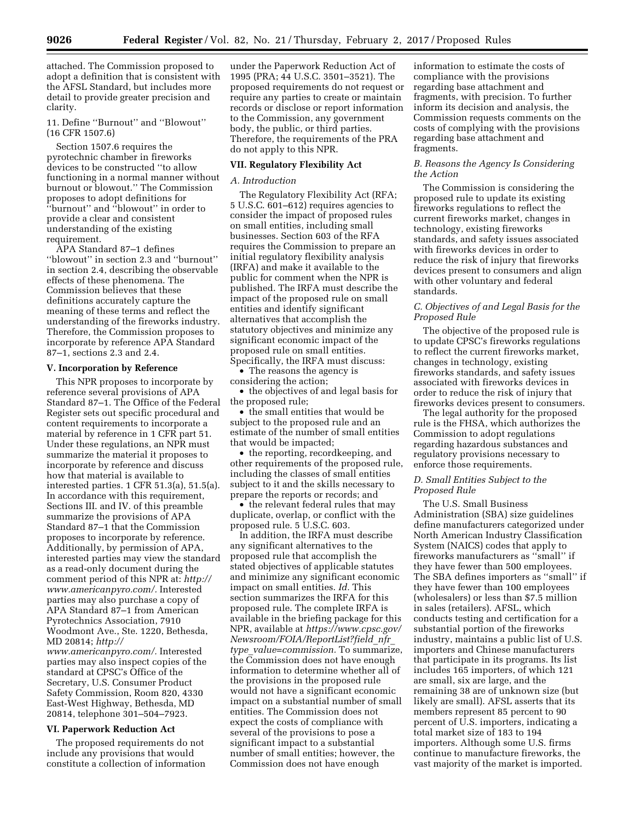attached. The Commission proposed to adopt a definition that is consistent with the AFSL Standard, but includes more detail to provide greater precision and clarity.

11. Define ''Burnout'' and ''Blowout'' (16 CFR 1507.6)

Section 1507.6 requires the pyrotechnic chamber in fireworks devices to be constructed ''to allow functioning in a normal manner without burnout or blowout.'' The Commission proposes to adopt definitions for 'burnout'' and "blowout" in order to provide a clear and consistent understanding of the existing requirement.

APA Standard 87–1 defines ''blowout'' in section 2.3 and ''burnout'' in section 2.4, describing the observable effects of these phenomena. The Commission believes that these definitions accurately capture the meaning of these terms and reflect the understanding of the fireworks industry. Therefore, the Commission proposes to incorporate by reference APA Standard 87–1, sections 2.3 and 2.4.

#### **V. Incorporation by Reference**

This NPR proposes to incorporate by reference several provisions of APA Standard 87–1. The Office of the Federal Register sets out specific procedural and content requirements to incorporate a material by reference in 1 CFR part 51. Under these regulations, an NPR must summarize the material it proposes to incorporate by reference and discuss how that material is available to interested parties. 1 CFR 51.3(a), 51.5(a). In accordance with this requirement, Sections III. and IV. of this preamble summarize the provisions of APA Standard 87–1 that the Commission proposes to incorporate by reference. Additionally, by permission of APA, interested parties may view the standard as a read-only document during the comment period of this NPR at: *[http://](http://www.americanpyro.com/)  [www.americanpyro.com/.](http://www.americanpyro.com/)* Interested parties may also purchase a copy of APA Standard 87–1 from American Pyrotechnics Association, 7910 Woodmont Ave., Ste. 1220, Bethesda, MD 20814; *[http://](http://www.americanpyro.com/) [www.americanpyro.com/.](http://www.americanpyro.com/)* Interested

parties may also inspect copies of the standard at CPSC's Office of the Secretary, U.S. Consumer Product Safety Commission, Room 820, 4330 East-West Highway, Bethesda, MD 20814, telephone 301–504–7923.

## **VI. Paperwork Reduction Act**

The proposed requirements do not include any provisions that would constitute a collection of information

under the Paperwork Reduction Act of 1995 (PRA; 44 U.S.C. 3501–3521). The proposed requirements do not request or require any parties to create or maintain records or disclose or report information to the Commission, any government body, the public, or third parties. Therefore, the requirements of the PRA do not apply to this NPR.

## **VII. Regulatory Flexibility Act**

## *A. Introduction*

The Regulatory Flexibility Act (RFA; 5 U.S.C. 601–612) requires agencies to consider the impact of proposed rules on small entities, including small businesses. Section 603 of the RFA requires the Commission to prepare an initial regulatory flexibility analysis (IRFA) and make it available to the public for comment when the NPR is published. The IRFA must describe the impact of the proposed rule on small entities and identify significant alternatives that accomplish the statutory objectives and minimize any significant economic impact of the proposed rule on small entities. Specifically, the IRFA must discuss:

• The reasons the agency is considering the action;

• the objectives of and legal basis for the proposed rule;

• the small entities that would be subject to the proposed rule and an estimate of the number of small entities that would be impacted;

• the reporting, recordkeeping, and other requirements of the proposed rule, including the classes of small entities subject to it and the skills necessary to prepare the reports or records; and

• the relevant federal rules that may duplicate, overlap, or conflict with the proposed rule. 5 U.S.C. 603.

In addition, the IRFA must describe any significant alternatives to the proposed rule that accomplish the stated objectives of applicable statutes and minimize any significant economic impact on small entities. *Id.* This section summarizes the IRFA for this proposed rule. The complete IRFA is available in the briefing package for this NPR, available at *[https://www.cpsc.gov/](https://www.cpsc.gov/Newsroom/FOIA/ReportList?field_nfr_type_value=commission) [Newsroom/FOIA/ReportList?field](https://www.cpsc.gov/Newsroom/FOIA/ReportList?field_nfr_type_value=commission)*\_*nfr*\_ *type*\_*[value=commission.](https://www.cpsc.gov/Newsroom/FOIA/ReportList?field_nfr_type_value=commission)* To summarize, the Commission does not have enough information to determine whether all of the provisions in the proposed rule would not have a significant economic impact on a substantial number of small entities. The Commission does not expect the costs of compliance with several of the provisions to pose a significant impact to a substantial number of small entities; however, the Commission does not have enough

information to estimate the costs of compliance with the provisions regarding base attachment and fragments, with precision. To further inform its decision and analysis, the Commission requests comments on the costs of complying with the provisions regarding base attachment and fragments.

## *B. Reasons the Agency Is Considering the Action*

The Commission is considering the proposed rule to update its existing fireworks regulations to reflect the current fireworks market, changes in technology, existing fireworks standards, and safety issues associated with fireworks devices in order to reduce the risk of injury that fireworks devices present to consumers and align with other voluntary and federal standards.

## *C. Objectives of and Legal Basis for the Proposed Rule*

The objective of the proposed rule is to update CPSC's fireworks regulations to reflect the current fireworks market, changes in technology, existing fireworks standards, and safety issues associated with fireworks devices in order to reduce the risk of injury that fireworks devices present to consumers.

The legal authority for the proposed rule is the FHSA, which authorizes the Commission to adopt regulations regarding hazardous substances and regulatory provisions necessary to enforce those requirements.

## *D. Small Entities Subject to the Proposed Rule*

The U.S. Small Business Administration (SBA) size guidelines define manufacturers categorized under North American Industry Classification System (NAICS) codes that apply to fireworks manufacturers as ''small'' if they have fewer than 500 employees. The SBA defines importers as ''small'' if they have fewer than 100 employees (wholesalers) or less than \$7.5 million in sales (retailers). AFSL, which conducts testing and certification for a substantial portion of the fireworks industry, maintains a public list of U.S. importers and Chinese manufacturers that participate in its programs. Its list includes 165 importers, of which 121 are small, six are large, and the remaining 38 are of unknown size (but likely are small). AFSL asserts that its members represent 85 percent to 90 percent of U.S. importers, indicating a total market size of 183 to 194 importers. Although some U.S. firms continue to manufacture fireworks, the vast majority of the market is imported.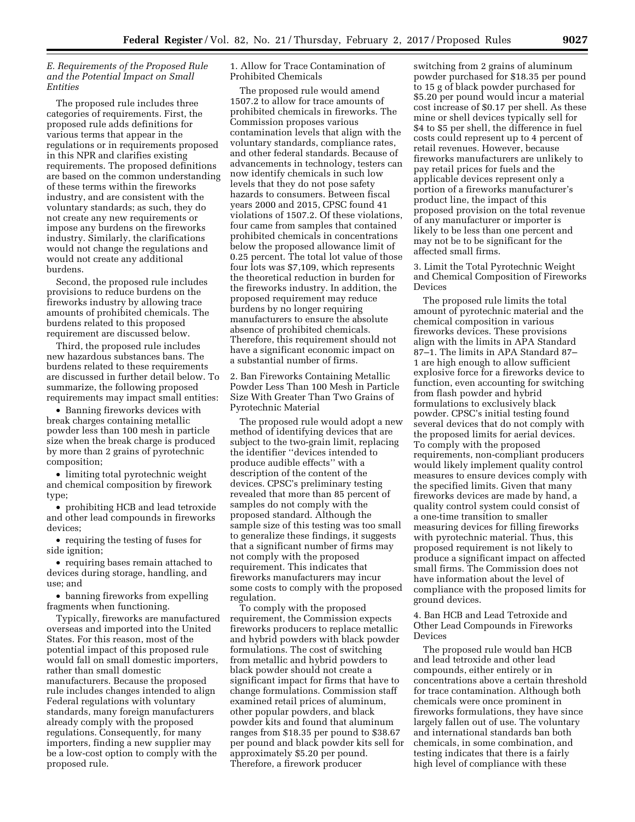## *E. Requirements of the Proposed Rule and the Potential Impact on Small Entities*

The proposed rule includes three categories of requirements. First, the proposed rule adds definitions for various terms that appear in the regulations or in requirements proposed in this NPR and clarifies existing requirements. The proposed definitions are based on the common understanding of these terms within the fireworks industry, and are consistent with the voluntary standards; as such, they do not create any new requirements or impose any burdens on the fireworks industry. Similarly, the clarifications would not change the regulations and would not create any additional burdens.

Second, the proposed rule includes provisions to reduce burdens on the fireworks industry by allowing trace amounts of prohibited chemicals. The burdens related to this proposed requirement are discussed below.

Third, the proposed rule includes new hazardous substances bans. The burdens related to these requirements are discussed in further detail below. To summarize, the following proposed requirements may impact small entities:

• Banning fireworks devices with break charges containing metallic powder less than 100 mesh in particle size when the break charge is produced by more than 2 grains of pyrotechnic composition;

• limiting total pyrotechnic weight and chemical composition by firework type;

• prohibiting HCB and lead tetroxide and other lead compounds in fireworks devices;

• requiring the testing of fuses for side ignition;

• requiring bases remain attached to devices during storage, handling, and use; and

• banning fireworks from expelling fragments when functioning.

Typically, fireworks are manufactured overseas and imported into the United States. For this reason, most of the potential impact of this proposed rule would fall on small domestic importers, rather than small domestic manufacturers. Because the proposed rule includes changes intended to align Federal regulations with voluntary standards, many foreign manufacturers already comply with the proposed regulations. Consequently, for many importers, finding a new supplier may be a low-cost option to comply with the proposed rule.

1. Allow for Trace Contamination of Prohibited Chemicals

The proposed rule would amend 1507.2 to allow for trace amounts of prohibited chemicals in fireworks. The Commission proposes various contamination levels that align with the voluntary standards, compliance rates, and other federal standards. Because of advancements in technology, testers can now identify chemicals in such low levels that they do not pose safety hazards to consumers. Between fiscal years 2000 and 2015, CPSC found 41 violations of 1507.2. Of these violations, four came from samples that contained prohibited chemicals in concentrations below the proposed allowance limit of 0.25 percent. The total lot value of those four lots was \$7,109, which represents the theoretical reduction in burden for the fireworks industry. In addition, the proposed requirement may reduce burdens by no longer requiring manufacturers to ensure the absolute absence of prohibited chemicals. Therefore, this requirement should not have a significant economic impact on a substantial number of firms.

2. Ban Fireworks Containing Metallic Powder Less Than 100 Mesh in Particle Size With Greater Than Two Grains of Pyrotechnic Material

The proposed rule would adopt a new method of identifying devices that are subject to the two-grain limit, replacing the identifier ''devices intended to produce audible effects'' with a description of the content of the devices. CPSC's preliminary testing revealed that more than 85 percent of samples do not comply with the proposed standard. Although the sample size of this testing was too small to generalize these findings, it suggests that a significant number of firms may not comply with the proposed requirement. This indicates that fireworks manufacturers may incur some costs to comply with the proposed regulation.

To comply with the proposed requirement, the Commission expects fireworks producers to replace metallic and hybrid powders with black powder formulations. The cost of switching from metallic and hybrid powders to black powder should not create a significant impact for firms that have to change formulations. Commission staff examined retail prices of aluminum, other popular powders, and black powder kits and found that aluminum ranges from \$18.35 per pound to \$38.67 per pound and black powder kits sell for approximately \$5.20 per pound. Therefore, a firework producer

switching from 2 grains of aluminum powder purchased for \$18.35 per pound to 15 g of black powder purchased for \$5.20 per pound would incur a material cost increase of \$0.17 per shell. As these mine or shell devices typically sell for \$4 to \$5 per shell, the difference in fuel costs could represent up to 4 percent of retail revenues. However, because fireworks manufacturers are unlikely to pay retail prices for fuels and the applicable devices represent only a portion of a fireworks manufacturer's product line, the impact of this proposed provision on the total revenue of any manufacturer or importer is likely to be less than one percent and may not be to be significant for the affected small firms.

3. Limit the Total Pyrotechnic Weight and Chemical Composition of Fireworks Devices

The proposed rule limits the total amount of pyrotechnic material and the chemical composition in various fireworks devices. These provisions align with the limits in APA Standard 87–1. The limits in APA Standard 87– 1 are high enough to allow sufficient explosive force for a fireworks device to function, even accounting for switching from flash powder and hybrid formulations to exclusively black powder. CPSC's initial testing found several devices that do not comply with the proposed limits for aerial devices. To comply with the proposed requirements, non-compliant producers would likely implement quality control measures to ensure devices comply with the specified limits. Given that many fireworks devices are made by hand, a quality control system could consist of a one-time transition to smaller measuring devices for filling fireworks with pyrotechnic material. Thus, this proposed requirement is not likely to produce a significant impact on affected small firms. The Commission does not have information about the level of compliance with the proposed limits for ground devices.

4. Ban HCB and Lead Tetroxide and Other Lead Compounds in Fireworks Devices

The proposed rule would ban HCB and lead tetroxide and other lead compounds, either entirely or in concentrations above a certain threshold for trace contamination. Although both chemicals were once prominent in fireworks formulations, they have since largely fallen out of use. The voluntary and international standards ban both chemicals, in some combination, and testing indicates that there is a fairly high level of compliance with these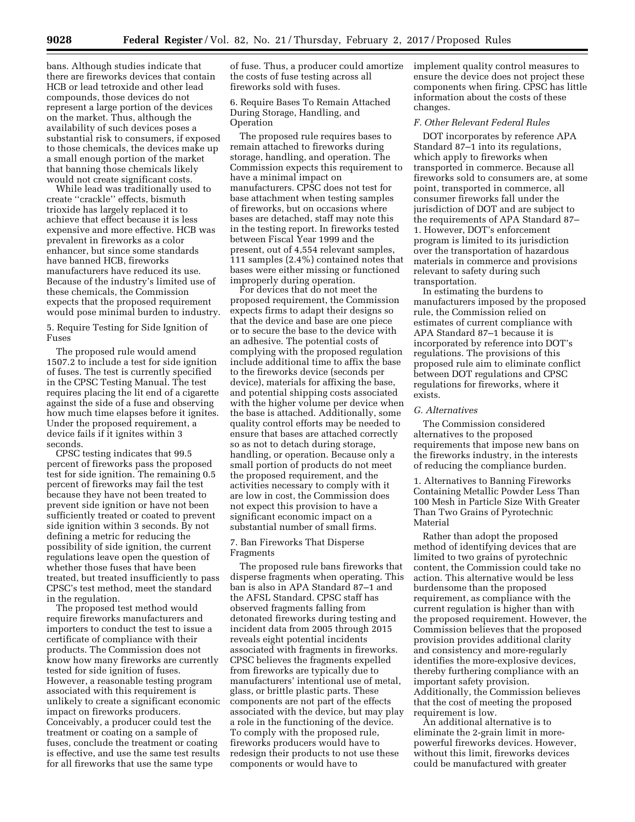bans. Although studies indicate that there are fireworks devices that contain HCB or lead tetroxide and other lead compounds, those devices do not represent a large portion of the devices on the market. Thus, although the availability of such devices poses a substantial risk to consumers, if exposed to those chemicals, the devices make up a small enough portion of the market that banning those chemicals likely would not create significant costs.

While lead was traditionally used to create ''crackle'' effects, bismuth trioxide has largely replaced it to achieve that effect because it is less expensive and more effective. HCB was prevalent in fireworks as a color enhancer, but since some standards have banned HCB, fireworks manufacturers have reduced its use. Because of the industry's limited use of these chemicals, the Commission expects that the proposed requirement would pose minimal burden to industry.

5. Require Testing for Side Ignition of Fuses

The proposed rule would amend 1507.2 to include a test for side ignition of fuses. The test is currently specified in the CPSC Testing Manual. The test requires placing the lit end of a cigarette against the side of a fuse and observing how much time elapses before it ignites. Under the proposed requirement, a device fails if it ignites within 3 seconds.

CPSC testing indicates that 99.5 percent of fireworks pass the proposed test for side ignition. The remaining 0.5 percent of fireworks may fail the test because they have not been treated to prevent side ignition or have not been sufficiently treated or coated to prevent side ignition within 3 seconds. By not defining a metric for reducing the possibility of side ignition, the current regulations leave open the question of whether those fuses that have been treated, but treated insufficiently to pass CPSC's test method, meet the standard in the regulation.

The proposed test method would require fireworks manufacturers and importers to conduct the test to issue a certificate of compliance with their products. The Commission does not know how many fireworks are currently tested for side ignition of fuses. However, a reasonable testing program associated with this requirement is unlikely to create a significant economic impact on fireworks producers. Conceivably, a producer could test the treatment or coating on a sample of fuses, conclude the treatment or coating is effective, and use the same test results for all fireworks that use the same type

of fuse. Thus, a producer could amortize the costs of fuse testing across all fireworks sold with fuses.

6. Require Bases To Remain Attached During Storage, Handling, and Operation

The proposed rule requires bases to remain attached to fireworks during storage, handling, and operation. The Commission expects this requirement to have a minimal impact on manufacturers. CPSC does not test for base attachment when testing samples of fireworks, but on occasions where bases are detached, staff may note this in the testing report. In fireworks tested between Fiscal Year 1999 and the present, out of 4,554 relevant samples, 111 samples (2.4%) contained notes that bases were either missing or functioned improperly during operation.

For devices that do not meet the proposed requirement, the Commission expects firms to adapt their designs so that the device and base are one piece or to secure the base to the device with an adhesive. The potential costs of complying with the proposed regulation include additional time to affix the base to the fireworks device (seconds per device), materials for affixing the base, and potential shipping costs associated with the higher volume per device when the base is attached. Additionally, some quality control efforts may be needed to ensure that bases are attached correctly so as not to detach during storage, handling, or operation. Because only a small portion of products do not meet the proposed requirement, and the activities necessary to comply with it are low in cost, the Commission does not expect this provision to have a significant economic impact on a substantial number of small firms.

## 7. Ban Fireworks That Disperse Fragments

The proposed rule bans fireworks that disperse fragments when operating. This ban is also in APA Standard 87–1 and the AFSL Standard. CPSC staff has observed fragments falling from detonated fireworks during testing and incident data from 2005 through 2015 reveals eight potential incidents associated with fragments in fireworks. CPSC believes the fragments expelled from fireworks are typically due to manufacturers' intentional use of metal, glass, or brittle plastic parts. These components are not part of the effects associated with the device, but may play a role in the functioning of the device. To comply with the proposed rule, fireworks producers would have to redesign their products to not use these components or would have to

implement quality control measures to ensure the device does not project these components when firing. CPSC has little information about the costs of these changes.

#### *F. Other Relevant Federal Rules*

DOT incorporates by reference APA Standard 87–1 into its regulations, which apply to fireworks when transported in commerce. Because all fireworks sold to consumers are, at some point, transported in commerce, all consumer fireworks fall under the jurisdiction of DOT and are subject to the requirements of APA Standard 87– 1. However, DOT's enforcement program is limited to its jurisdiction over the transportation of hazardous materials in commerce and provisions relevant to safety during such transportation.

In estimating the burdens to manufacturers imposed by the proposed rule, the Commission relied on estimates of current compliance with APA Standard 87–1 because it is incorporated by reference into DOT's regulations. The provisions of this proposed rule aim to eliminate conflict between DOT regulations and CPSC regulations for fireworks, where it exists.

#### *G. Alternatives*

The Commission considered alternatives to the proposed requirements that impose new bans on the fireworks industry, in the interests of reducing the compliance burden.

1. Alternatives to Banning Fireworks Containing Metallic Powder Less Than 100 Mesh in Particle Size With Greater Than Two Grains of Pyrotechnic Material

Rather than adopt the proposed method of identifying devices that are limited to two grains of pyrotechnic content, the Commission could take no action. This alternative would be less burdensome than the proposed requirement, as compliance with the current regulation is higher than with the proposed requirement. However, the Commission believes that the proposed provision provides additional clarity and consistency and more-regularly identifies the more-explosive devices, thereby furthering compliance with an important safety provision. Additionally, the Commission believes that the cost of meeting the proposed requirement is low.

An additional alternative is to eliminate the 2-grain limit in morepowerful fireworks devices. However, without this limit, fireworks devices could be manufactured with greater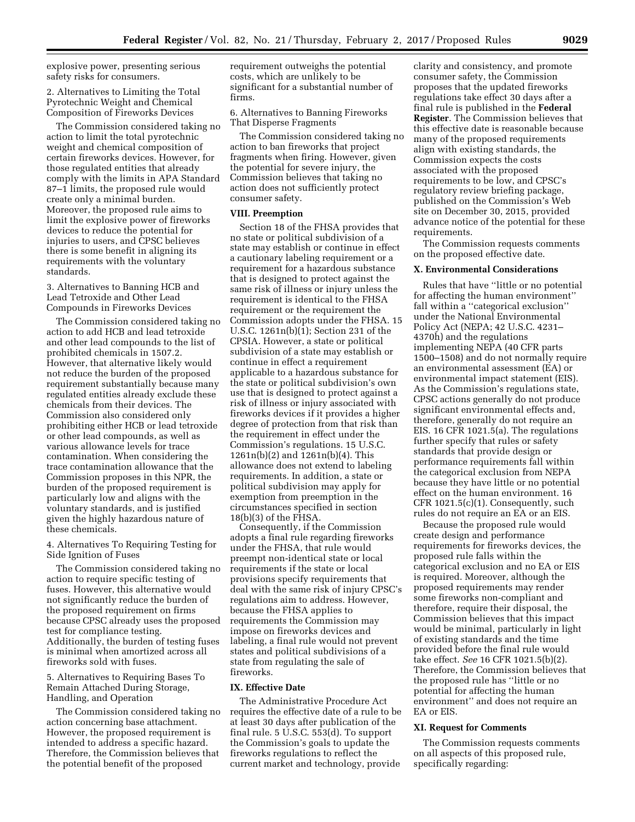explosive power, presenting serious safety risks for consumers.

2. Alternatives to Limiting the Total Pyrotechnic Weight and Chemical Composition of Fireworks Devices

The Commission considered taking no action to limit the total pyrotechnic weight and chemical composition of certain fireworks devices. However, for those regulated entities that already comply with the limits in APA Standard 87–1 limits, the proposed rule would create only a minimal burden. Moreover, the proposed rule aims to limit the explosive power of fireworks devices to reduce the potential for injuries to users, and CPSC believes there is some benefit in aligning its requirements with the voluntary standards.

3. Alternatives to Banning HCB and Lead Tetroxide and Other Lead Compounds in Fireworks Devices

The Commission considered taking no action to add HCB and lead tetroxide and other lead compounds to the list of prohibited chemicals in 1507.2. However, that alternative likely would not reduce the burden of the proposed requirement substantially because many regulated entities already exclude these chemicals from their devices. The Commission also considered only prohibiting either HCB or lead tetroxide or other lead compounds, as well as various allowance levels for trace contamination. When considering the trace contamination allowance that the Commission proposes in this NPR, the burden of the proposed requirement is particularly low and aligns with the voluntary standards, and is justified given the highly hazardous nature of these chemicals.

4. Alternatives To Requiring Testing for Side Ignition of Fuses

The Commission considered taking no action to require specific testing of fuses. However, this alternative would not significantly reduce the burden of the proposed requirement on firms because CPSC already uses the proposed test for compliance testing. Additionally, the burden of testing fuses is minimal when amortized across all fireworks sold with fuses.

5. Alternatives to Requiring Bases To Remain Attached During Storage, Handling, and Operation

The Commission considered taking no action concerning base attachment. However, the proposed requirement is intended to address a specific hazard. Therefore, the Commission believes that the potential benefit of the proposed

requirement outweighs the potential costs, which are unlikely to be significant for a substantial number of firms.

6. Alternatives to Banning Fireworks That Disperse Fragments

The Commission considered taking no action to ban fireworks that project fragments when firing. However, given the potential for severe injury, the Commission believes that taking no action does not sufficiently protect consumer safety.

#### **VIII. Preemption**

Section 18 of the FHSA provides that no state or political subdivision of a state may establish or continue in effect a cautionary labeling requirement or a requirement for a hazardous substance that is designed to protect against the same risk of illness or injury unless the requirement is identical to the FHSA requirement or the requirement the Commission adopts under the FHSA. 15 U.S.C. 1261n(b)(1); Section 231 of the CPSIA. However, a state or political subdivision of a state may establish or continue in effect a requirement applicable to a hazardous substance for the state or political subdivision's own use that is designed to protect against a risk of illness or injury associated with fireworks devices if it provides a higher degree of protection from that risk than the requirement in effect under the Commission's regulations. 15 U.S.C. 1261n(b)(2) and 1261n(b)(4). This allowance does not extend to labeling requirements. In addition, a state or political subdivision may apply for exemption from preemption in the circumstances specified in section 18(b)(3) of the FHSA.

Consequently, if the Commission adopts a final rule regarding fireworks under the FHSA, that rule would preempt non-identical state or local requirements if the state or local provisions specify requirements that deal with the same risk of injury CPSC's regulations aim to address. However, because the FHSA applies to requirements the Commission may impose on fireworks devices and labeling, a final rule would not prevent states and political subdivisions of a state from regulating the sale of fireworks.

#### **IX. Effective Date**

The Administrative Procedure Act requires the effective date of a rule to be at least 30 days after publication of the final rule. 5 U.S.C. 553(d). To support the Commission's goals to update the fireworks regulations to reflect the current market and technology, provide

clarity and consistency, and promote consumer safety, the Commission proposes that the updated fireworks regulations take effect 30 days after a final rule is published in the **Federal Register**. The Commission believes that this effective date is reasonable because many of the proposed requirements align with existing standards, the Commission expects the costs associated with the proposed requirements to be low, and CPSC's regulatory review briefing package, published on the Commission's Web site on December 30, 2015, provided advance notice of the potential for these requirements.

The Commission requests comments on the proposed effective date.

#### **X. Environmental Considerations**

Rules that have ''little or no potential for affecting the human environment'' fall within a "categorical exclusion" under the National Environmental Policy Act (NEPA; 42 U.S.C. 4231– 4370h) and the regulations implementing NEPA (40 CFR parts 1500–1508) and do not normally require an environmental assessment (EA) or environmental impact statement (EIS). As the Commission's regulations state, CPSC actions generally do not produce significant environmental effects and, therefore, generally do not require an EIS. 16 CFR 1021.5(a). The regulations further specify that rules or safety standards that provide design or performance requirements fall within the categorical exclusion from NEPA because they have little or no potential effect on the human environment. 16 CFR 1021.5(c)(1). Consequently, such rules do not require an EA or an EIS.

Because the proposed rule would create design and performance requirements for fireworks devices, the proposed rule falls within the categorical exclusion and no EA or EIS is required. Moreover, although the proposed requirements may render some fireworks non-compliant and therefore, require their disposal, the Commission believes that this impact would be minimal, particularly in light of existing standards and the time provided before the final rule would take effect. *See* 16 CFR 1021.5(b)(2). Therefore, the Commission believes that the proposed rule has ''little or no potential for affecting the human environment'' and does not require an EA or EIS.

#### **XI. Request for Comments**

The Commission requests comments on all aspects of this proposed rule, specifically regarding: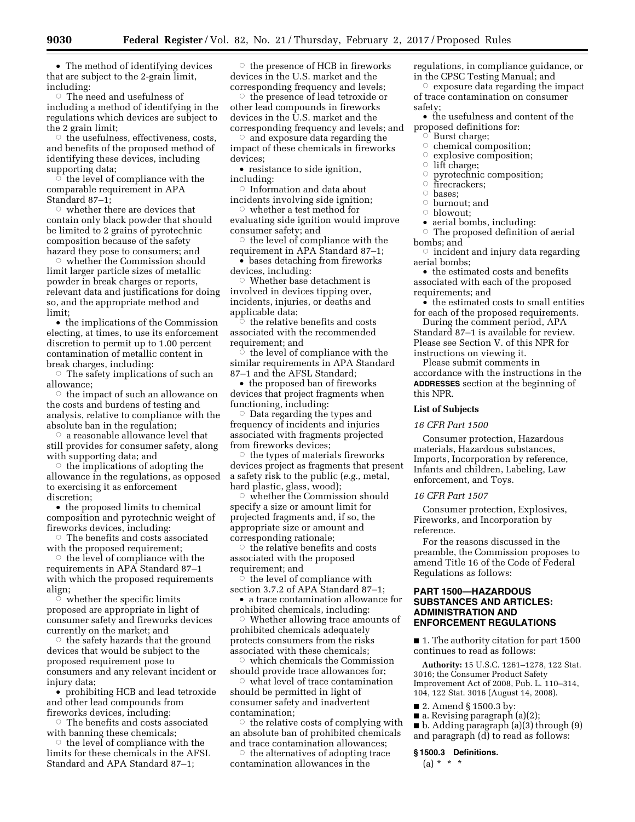• The method of identifying devices that are subject to the 2-grain limit, including:

 $\circ$  The need and usefulness of including a method of identifying in the regulations which devices are subject to the 2 grain limit;

Æ the usefulness, effectiveness, costs, and benefits of the proposed method of identifying these devices, including supporting data;

 $\circ$  the level of compliance with the comparable requirement in APA Standard 87–1;

 $\circ$  whether there are devices that contain only black powder that should be limited to 2 grains of pyrotechnic composition because of the safety hazard they pose to consumers; and

 $\circ$  whether the Commission should limit larger particle sizes of metallic powder in break charges or reports, relevant data and justifications for doing so, and the appropriate method and limit;

• the implications of the Commission electing, at times, to use its enforcement discretion to permit up to 1.00 percent contamination of metallic content in break charges, including:

 $\circ$  The safety implications of such an allowance;

 $\circ$  the impact of such an allowance on the costs and burdens of testing and analysis, relative to compliance with the absolute ban in the regulation;

 $\circ$  a reasonable allowance level that still provides for consumer safety, along with supporting data; and

 $\circ$  the implications of adopting the allowance in the regulations, as opposed to exercising it as enforcement discretion;

• the proposed limits to chemical composition and pyrotechnic weight of fireworks devices, including:

 $\circ$  The benefits and costs associated with the proposed requirement;

 $\circ$  the level of compliance with the requirements in APA Standard 87–1 with which the proposed requirements align;

 $\delta$  whether the specific limits proposed are appropriate in light of consumer safety and fireworks devices currently on the market; and

 $\circ$  the safety hazards that the ground devices that would be subject to the proposed requirement pose to consumers and any relevant incident or injury data;

• prohibiting HCB and lead tetroxide and other lead compounds from fireworks devices, including:

 $\circ$  The benefits and costs associated with banning these chemicals;

 $\circ$  the level of compliance with the limits for these chemicals in the AFSL Standard and APA Standard 87–1;

 $\circ$  the presence of HCB in fireworks devices in the U.S. market and the corresponding frequency and levels;

 $\circ$  the presence of lead tetroxide or other lead compounds in fireworks devices in the U.S. market and the corresponding frequency and levels; and

Æ and exposure data regarding the impact of these chemicals in fireworks devices;

• resistance to side ignition, including:

 $\circ$  Information and data about incidents involving side ignition;

 $\circ$  whether a test method for evaluating side ignition would improve consumer safety; and

 $\circ$  the level of compliance with the requirement in APA Standard 87–1;

• bases detaching from fireworks devices, including:

 $\circ$  Whether base detachment is involved in devices tipping over, incidents, injuries, or deaths and applicable data;

 $\circ$  the relative benefits and costs associated with the recommended requirement; and

 $\vec{\circ}$  the level of compliance with the similar requirements in APA Standard 87–1 and the AFSL Standard;

• the proposed ban of fireworks devices that project fragments when functioning, including:

 $\circ$  Data regarding the types and frequency of incidents and injuries associated with fragments projected from fireworks devices;

Æ the types of materials fireworks devices project as fragments that present a safety risk to the public (*e.g.,* metal, hard plastic, glass, wood);

 $\circ$  whether the Commission should specify a size or amount limit for projected fragments and, if so, the appropriate size or amount and corresponding rationale;

 $\circ$  the relative benefits and costs associated with the proposed requirement; and

 $\circ$  the level of compliance with section 3.7.2 of APA Standard 87–1;

• a trace contamination allowance for prohibited chemicals, including:

 $\circ$  Whether allowing trace amounts of prohibited chemicals adequately protects consumers from the risks

associated with these chemicals;  $\circ$  which chemicals the Commission should provide trace allowances for;

 $\circ$  what level of trace contamination should be permitted in light of consumer safety and inadvertent contamination;

 $\circ$  the relative costs of complying with an absolute ban of prohibited chemicals and trace contamination allowances;

 $\circ$  the alternatives of adopting trace contamination allowances in the

regulations, in compliance guidance, or in the CPSC Testing Manual; and

 $\circ$  exposure data regarding the impact of trace contamination on consumer safety;

• the usefulness and content of the proposed definitions for: Æ

Burst charge;

- $\circ$  chemical composition;
- Æexplosive composition;
- Ælift charge;
- Æpyrotechnic composition;
- Æfirecrackers;
- $\circ$  bases;  $\circ$
- burnout; and
- $\circ$  blowout;
- aerial bombs, including: Æ

 The proposed definition of aerial bombs; and

 $\circ$  incident and injury data regarding aerial bombs;

• the estimated costs and benefits associated with each of the proposed requirements; and

• the estimated costs to small entities for each of the proposed requirements.

During the comment period, APA Standard 87–1 is available for review. Please see Section V. of this NPR for instructions on viewing it.

Please submit comments in accordance with the instructions in the **ADDRESSES** section at the beginning of this NPR.

#### **List of Subjects**

#### *16 CFR Part 1500*

Consumer protection, Hazardous materials, Hazardous substances, Imports, Incorporation by reference, Infants and children, Labeling, Law enforcement, and Toys.

#### *16 CFR Part 1507*

Consumer protection, Explosives, Fireworks, and Incorporation by reference.

For the reasons discussed in the preamble, the Commission proposes to amend Title 16 of the Code of Federal Regulations as follows:

## **PART 1500—HAZARDOUS SUBSTANCES AND ARTICLES: ADMINISTRATION AND ENFORCEMENT REGULATIONS**

■ 1. The authority citation for part 1500 continues to read as follows:

**Authority:** 15 U.S.C. 1261–1278, 122 Stat. 3016; the Consumer Product Safety Improvement Act of 2008, Pub. L. 110–314, 104, 122 Stat. 3016 (August 14, 2008).

■ 2. Amend § 1500.3 by:

■ a. Revising paragraph (a)(2);

■ b. Adding paragraph (a)(3) through (9) and paragraph (d) to read as follows:

**§ 1500.3 Definitions.** 

 $(a) * * * *$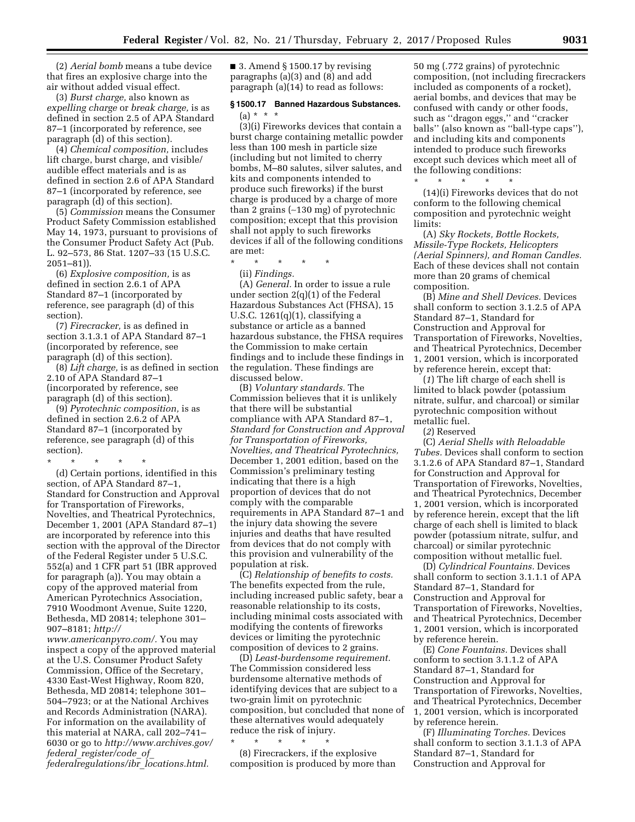(2) *Aerial bomb* means a tube device that fires an explosive charge into the air without added visual effect.

(3) *Burst charge,* also known as *expelling charge* or *break charge,* is as defined in section 2.5 of APA Standard 87–1 (incorporated by reference, see paragraph (d) of this section).

(4) *Chemical composition,* includes lift charge, burst charge, and visible/ audible effect materials and is as defined in section 2.6 of APA Standard 87–1 (incorporated by reference, see paragraph (d) of this section).

(5) *Commission* means the Consumer Product Safety Commission established May 14, 1973, pursuant to provisions of the Consumer Product Safety Act (Pub. L. 92–573, 86 Stat. 1207–33 (15 U.S.C. 2051–81)).

(6) *Explosive composition,* is as defined in section 2.6.1 of APA Standard 87–1 (incorporated by reference, see paragraph (d) of this section).

(7) *Firecracker,* is as defined in section 3.1.3.1 of APA Standard 87–1 (incorporated by reference, see paragraph (d) of this section).

(8) *Lift charge,* is as defined in section 2.10 of APA Standard 87–1 (incorporated by reference, see paragraph (d) of this section).

(9) *Pyrotechnic composition,* is as defined in section 2.6.2 of APA Standard 87–1 (incorporated by reference, see paragraph (d) of this section).

\* \* \* \* \* (d) Certain portions, identified in this section, of APA Standard 87–1, Standard for Construction and Approval for Transportation of Fireworks, Novelties, and Theatrical Pyrotechnics, December 1, 2001 (APA Standard 87–1) are incorporated by reference into this section with the approval of the Director of the Federal Register under 5 U.S.C. 552(a) and 1 CFR part 51 (IBR approved for paragraph (a)). You may obtain a copy of the approved material from American Pyrotechnics Association, 7910 Woodmont Avenue, Suite 1220, Bethesda, MD 20814; telephone 301– 907–8181; *[http://](http://www.americanpyro.com/)*

*[www.americanpyro.com/.](http://www.americanpyro.com/)* You may inspect a copy of the approved material at the U.S. Consumer Product Safety Commission, Office of the Secretary, 4330 East-West Highway, Room 820, Bethesda, MD 20814; telephone 301– 504–7923; or at the National Archives and Records Administration (NARA). For information on the availability of this material at NARA, call 202–741– 6030 or go to *[http://www.archives.gov/](http://www.archives.gov/federal_register/code_of_federalregulations/ibr_locations.html) federal*\_*[register/code](http://www.archives.gov/federal_register/code_of_federalregulations/ibr_locations.html)*\_*of*\_

*[federalregulations/ibr](http://www.archives.gov/federal_register/code_of_federalregulations/ibr_locations.html)*\_*locations.html.* 

 $\blacksquare$  3. Amend § 1500.17 by revising paragraphs (a)(3) and (8) and add paragraph (a)(14) to read as follows:

# **§ 1500.17 Banned Hazardous Substances.**

 $(a) * * * *$ (3)(i) Fireworks devices that contain a burst charge containing metallic powder less than 100 mesh in particle size (including but not limited to cherry bombs, M–80 salutes, silver salutes, and kits and components intended to produce such fireworks) if the burst charge is produced by a charge of more than 2 grains (∼130 mg) of pyrotechnic composition; except that this provision shall not apply to such fireworks devices if all of the following conditions are met:

\* \* \* \* \*

(ii) *Findings.* 

(A) *General.* In order to issue a rule under section 2(q)(1) of the Federal Hazardous Substances Act (FHSA), 15 U.S.C.  $1261(q)(1)$ , classifying a substance or article as a banned hazardous substance, the FHSA requires the Commission to make certain findings and to include these findings in the regulation. These findings are discussed below.

(B) *Voluntary standards.* The Commission believes that it is unlikely that there will be substantial compliance with APA Standard 87–1, *Standard for Construction and Approval for Transportation of Fireworks, Novelties, and Theatrical Pyrotechnics,*  December 1, 2001 edition, based on the Commission's preliminary testing indicating that there is a high proportion of devices that do not comply with the comparable requirements in APA Standard 87–1 and the injury data showing the severe injuries and deaths that have resulted from devices that do not comply with this provision and vulnerability of the population at risk.

(C) *Relationship of benefits to costs.*  The benefits expected from the rule, including increased public safety, bear a reasonable relationship to its costs, including minimal costs associated with modifying the contents of fireworks devices or limiting the pyrotechnic composition of devices to 2 grains.

(D) *Least-burdensome requirement.*  The Commission considered less burdensome alternative methods of identifying devices that are subject to a two-grain limit on pyrotechnic composition, but concluded that none of these alternatives would adequately reduce the risk of injury.

\* \* \* \* \* (8) Firecrackers, if the explosive composition is produced by more than

50 mg (.772 grains) of pyrotechnic composition, (not including firecrackers included as components of a rocket), aerial bombs, and devices that may be confused with candy or other foods, such as ''dragon eggs,'' and ''cracker balls'' (also known as ''ball-type caps''), and including kits and components intended to produce such fireworks except such devices which meet all of the following conditions:

\* \* \* \* \* (14)(i) Fireworks devices that do not conform to the following chemical composition and pyrotechnic weight limits:

(A) *Sky Rockets, Bottle Rockets, Missile-Type Rockets, Helicopters (Aerial Spinners), and Roman Candles.*  Each of these devices shall not contain more than 20 grams of chemical composition.

(B) *Mine and Shell Devices.* Devices shall conform to section 3.1.2.5 of APA Standard 87–1, Standard for Construction and Approval for Transportation of Fireworks, Novelties, and Theatrical Pyrotechnics, December 1, 2001 version, which is incorporated by reference herein, except that:

(*1*) The lift charge of each shell is limited to black powder (potassium nitrate, sulfur, and charcoal) or similar pyrotechnic composition without metallic fuel.

(*2*) Reserved

(C) *Aerial Shells with Reloadable Tubes.* Devices shall conform to section 3.1.2.6 of APA Standard 87–1, Standard for Construction and Approval for Transportation of Fireworks, Novelties, and Theatrical Pyrotechnics, December 1, 2001 version, which is incorporated by reference herein, except that the lift charge of each shell is limited to black powder (potassium nitrate, sulfur, and charcoal) or similar pyrotechnic composition without metallic fuel.

(D) *Cylindrical Fountains.* Devices shall conform to section 3.1.1.1 of APA Standard 87–1, Standard for Construction and Approval for Transportation of Fireworks, Novelties, and Theatrical Pyrotechnics, December 1, 2001 version, which is incorporated by reference herein.

(E) *Cone Fountains.* Devices shall conform to section 3.1.1.2 of APA Standard 87–1, Standard for Construction and Approval for Transportation of Fireworks, Novelties, and Theatrical Pyrotechnics, December 1, 2001 version, which is incorporated by reference herein.

(F) *Illuminating Torches.* Devices shall conform to section 3.1.1.3 of APA Standard 87–1, Standard for Construction and Approval for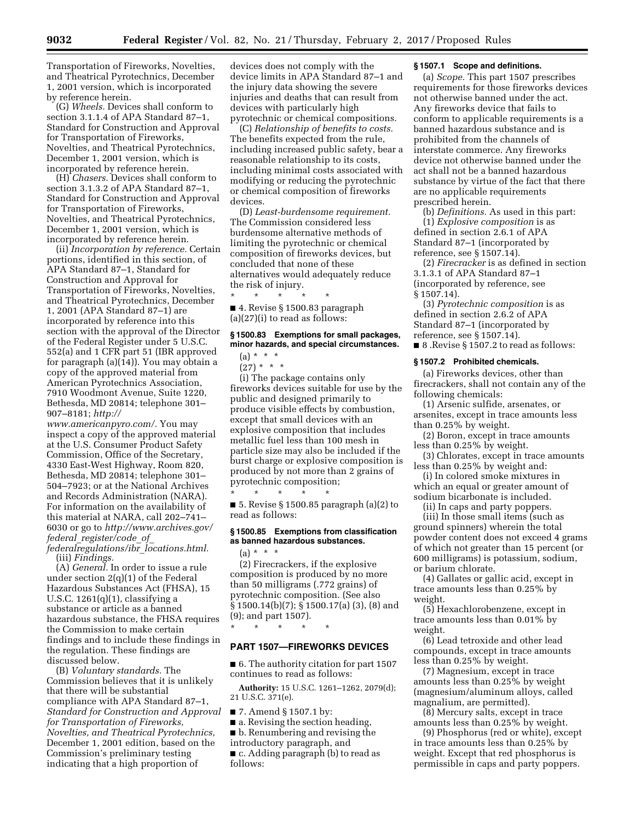Transportation of Fireworks, Novelties, and Theatrical Pyrotechnics, December 1, 2001 version, which is incorporated by reference herein.

(G) *Wheels.* Devices shall conform to section 3.1.1.4 of APA Standard 87–1, Standard for Construction and Approval for Transportation of Fireworks, Novelties, and Theatrical Pyrotechnics, December 1, 2001 version, which is incorporated by reference herein.

(H) *Chasers.* Devices shall conform to section 3.1.3.2 of APA Standard 87–1, Standard for Construction and Approval for Transportation of Fireworks, Novelties, and Theatrical Pyrotechnics, December 1, 2001 version, which is incorporated by reference herein.

(ii) *Incorporation by reference.* Certain portions, identified in this section, of APA Standard 87–1, Standard for Construction and Approval for Transportation of Fireworks, Novelties, and Theatrical Pyrotechnics, December 1, 2001 (APA Standard 87–1) are incorporated by reference into this section with the approval of the Director of the Federal Register under 5 U.S.C. 552(a) and 1 CFR part 51 (IBR approved for paragraph (a)(14)). You may obtain a copy of the approved material from American Pyrotechnics Association, 7910 Woodmont Avenue, Suite 1220, Bethesda, MD 20814; telephone 301– 907–8181; *[http://](http://www.americanpyro.com/)*

*[www.americanpyro.com/.](http://www.americanpyro.com/)* You may inspect a copy of the approved material at the U.S. Consumer Product Safety Commission, Office of the Secretary, 4330 East-West Highway, Room 820, Bethesda, MD 20814; telephone 301– 504–7923; or at the National Archives and Records Administration (NARA). For information on the availability of this material at NARA, call 202–741– 6030 or go to *[http://www.archives.gov/](http://www.archives.gov/federal_register/code_of_federalregulations/ibr_locations.html) federal*\_*[register/code](http://www.archives.gov/federal_register/code_of_federalregulations/ibr_locations.html)*\_*of*\_ *[federalregulations/ibr](http://www.archives.gov/federal_register/code_of_federalregulations/ibr_locations.html)*\_*locations.html.* 

(iii) *Findings.* 

(A) *General.* In order to issue a rule under section 2(q)(1) of the Federal Hazardous Substances Act (FHSA), 15 U.S.C. 1261(q)(1), classifying a substance or article as a banned hazardous substance, the FHSA requires the Commission to make certain findings and to include these findings in the regulation. These findings are discussed below.

(B) *Voluntary standards.* The Commission believes that it is unlikely that there will be substantial compliance with APA Standard 87–1, *Standard for Construction and Approval for Transportation of Fireworks, Novelties, and Theatrical Pyrotechnics,*  December 1, 2001 edition, based on the Commission's preliminary testing indicating that a high proportion of

devices does not comply with the device limits in APA Standard 87–1 and the injury data showing the severe injuries and deaths that can result from devices with particularly high pyrotechnic or chemical compositions.

(C) *Relationship of benefits to costs.*  The benefits expected from the rule, including increased public safety, bear a reasonable relationship to its costs, including minimal costs associated with modifying or reducing the pyrotechnic or chemical composition of fireworks devices.

(D) *Least-burdensome requirement.*  The Commission considered less burdensome alternative methods of limiting the pyrotechnic or chemical composition of fireworks devices, but concluded that none of these alternatives would adequately reduce the risk of injury.

\* \* \* \* \* ■ 4. Revise § 1500.83 paragraph (a)(27)(i) to read as follows:

#### **§ 1500.83 Exemptions for small packages, minor hazards, and special circumstances.**

 $(a) * * * *$ 

 $(27) * * * *$ 

(i) The package contains only fireworks devices suitable for use by the public and designed primarily to produce visible effects by combustion, except that small devices with an explosive composition that includes metallic fuel less than 100 mesh in particle size may also be included if the burst charge or explosive composition is produced by not more than 2 grains of pyrotechnic composition;

\* \* \* \* \* ■ 5. Revise § 1500.85 paragraph  $(a)(2)$  to read as follows:

## **§ 1500.85 Exemptions from classification as banned hazardous substances.**

 $(a) * * * *$ (2) Firecrackers, if the explosive composition is produced by no more than 50 milligrams (.772 grains) of pyrotechnic composition. (See also § 1500.14(b)(7); § 1500.17(a) (3), (8) and (9); and part 1507). \* \* \* \* \*

#### **PART 1507—FIREWORKS DEVICES**

■ 6. The authority citation for part 1507 continues to read as follows:

**Authority:** 15 U.S.C. 1261–1262, 2079(d); 21 U.S.C. 371(e).

■ 7. Amend § 1507.1 by:

■ a. Revising the section heading, ■ b. Renumbering and revising the introductory paragraph, and ■ c. Adding paragraph (b) to read as follows:

#### **§ 1507.1 Scope and definitions.**

(a) *Scope.* This part 1507 prescribes requirements for those fireworks devices not otherwise banned under the act. Any fireworks device that fails to conform to applicable requirements is a banned hazardous substance and is prohibited from the channels of interstate commerce. Any fireworks device not otherwise banned under the act shall not be a banned hazardous substance by virtue of the fact that there are no applicable requirements prescribed herein.

(b) *Definitions.* As used in this part: (1) *Explosive composition* is as defined in section 2.6.1 of APA Standard 87–1 (incorporated by reference, see § 1507.14).

(2) *Firecracker* is as defined in section 3.1.3.1 of APA Standard 87–1 (incorporated by reference, see § 1507.14).

(3) *Pyrotechnic composition* is as defined in section 2.6.2 of APA Standard 87–1 (incorporated by reference, see § 1507.14). ■ 8 .Revise § 1507.2 to read as follows:

## **§ 1507.2 Prohibited chemicals.**

(a) Fireworks devices, other than firecrackers, shall not contain any of the following chemicals:

(1) Arsenic sulfide, arsenates, or arsenites, except in trace amounts less than 0.25% by weight.

(2) Boron, except in trace amounts less than 0.25% by weight.

(3) Chlorates, except in trace amounts less than 0.25% by weight and:

(i) In colored smoke mixtures in which an equal or greater amount of

sodium bicarbonate is included.

(ii) In caps and party poppers.

(iii) In those small items (such as ground spinners) wherein the total powder content does not exceed 4 grams of which not greater than 15 percent (or 600 milligrams) is potassium, sodium, or barium chlorate.

(4) Gallates or gallic acid, except in trace amounts less than 0.25% by weight.

(5) Hexachlorobenzene, except in trace amounts less than 0.01% by weight.

(6) Lead tetroxide and other lead compounds, except in trace amounts less than 0.25% by weight.

(7) Magnesium, except in trace amounts less than 0.25% by weight (magnesium/aluminum alloys, called magnalium, are permitted).

(8) Mercury salts, except in trace amounts less than 0.25% by weight.

(9) Phosphorus (red or white), except in trace amounts less than 0.25% by weight. Except that red phosphorus is permissible in caps and party poppers.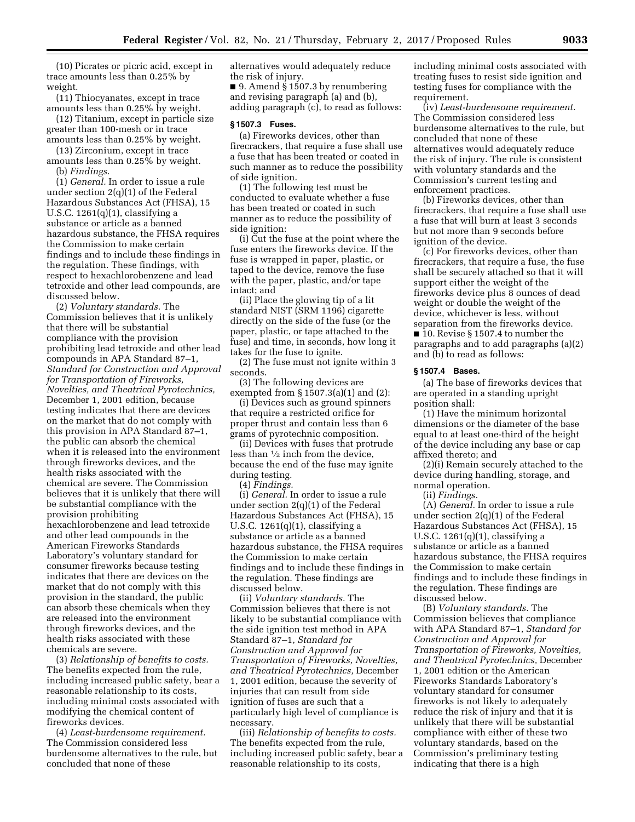(10) Picrates or picric acid, except in trace amounts less than 0.25% by weight.

(11) Thiocyanates, except in trace amounts less than 0.25% by weight.

(12) Titanium, except in particle size greater than 100-mesh or in trace amounts less than 0.25% by weight.

(13) Zirconium, except in trace

amounts less than 0.25% by weight. (b) *Findings.* 

(1) *General.* In order to issue a rule under section 2(q)(1) of the Federal Hazardous Substances Act (FHSA), 15 U.S.C.  $1261(q)(1)$ , classifying a substance or article as a banned hazardous substance, the FHSA requires the Commission to make certain findings and to include these findings in the regulation. These findings, with respect to hexachlorobenzene and lead tetroxide and other lead compounds, are discussed below.

(2) *Voluntary standards.* The Commission believes that it is unlikely that there will be substantial compliance with the provision prohibiting lead tetroxide and other lead compounds in APA Standard 87–1, *Standard for Construction and Approval for Transportation of Fireworks, Novelties, and Theatrical Pyrotechnics,*  December 1, 2001 edition, because testing indicates that there are devices on the market that do not comply with this provision in APA Standard 87–1, the public can absorb the chemical when it is released into the environment through fireworks devices, and the health risks associated with the chemical are severe. The Commission believes that it is unlikely that there will be substantial compliance with the provision prohibiting hexachlorobenzene and lead tetroxide and other lead compounds in the American Fireworks Standards Laboratory's voluntary standard for consumer fireworks because testing indicates that there are devices on the market that do not comply with this provision in the standard, the public can absorb these chemicals when they are released into the environment through fireworks devices, and the health risks associated with these chemicals are severe.

(3) *Relationship of benefits to costs.*  The benefits expected from the rule, including increased public safety, bear a reasonable relationship to its costs, including minimal costs associated with modifying the chemical content of fireworks devices.

(4) *Least-burdensome requirement.*  The Commission considered less burdensome alternatives to the rule, but concluded that none of these

alternatives would adequately reduce the risk of injury.

■ 9. Amend § 1507.3 by renumbering and revising paragraph (a) and (b), adding paragraph (c), to read as follows:

## **§ 1507.3 Fuses.**

(a) Fireworks devices, other than firecrackers, that require a fuse shall use a fuse that has been treated or coated in such manner as to reduce the possibility of side ignition.

(1) The following test must be conducted to evaluate whether a fuse has been treated or coated in such manner as to reduce the possibility of side ignition:

(i) Cut the fuse at the point where the fuse enters the fireworks device. If the fuse is wrapped in paper, plastic, or taped to the device, remove the fuse with the paper, plastic, and/or tape intact; and

(ii) Place the glowing tip of a lit standard NIST (SRM 1196) cigarette directly on the side of the fuse (or the paper, plastic, or tape attached to the fuse) and time, in seconds, how long it takes for the fuse to ignite.

(2) The fuse must not ignite within 3 seconds.

(3) The following devices are exempted from § 1507.3(a)(1) and (2):

(i) Devices such as ground spinners that require a restricted orifice for proper thrust and contain less than 6 grams of pyrotechnic composition.

(ii) Devices with fuses that protrude less than  $\frac{1}{2}$  inch from the device, because the end of the fuse may ignite during testing.

(4) *Findings.* 

(i) *General.* In order to issue a rule under section 2(q)(1) of the Federal Hazardous Substances Act (FHSA), 15 U.S.C.  $1261(q)(1)$ , classifying a substance or article as a banned hazardous substance, the FHSA requires the Commission to make certain findings and to include these findings in the regulation. These findings are discussed below.

(ii) *Voluntary standards.* The Commission believes that there is not likely to be substantial compliance with the side ignition test method in APA Standard 87–1, *Standard for Construction and Approval for Transportation of Fireworks, Novelties, and Theatrical Pyrotechnics,* December 1, 2001 edition, because the severity of injuries that can result from side ignition of fuses are such that a particularly high level of compliance is necessary.

(iii) *Relationship of benefits to costs.*  The benefits expected from the rule, including increased public safety, bear a reasonable relationship to its costs,

including minimal costs associated with treating fuses to resist side ignition and testing fuses for compliance with the requirement.

(iv) *Least-burdensome requirement.*  The Commission considered less burdensome alternatives to the rule, but concluded that none of these alternatives would adequately reduce the risk of injury. The rule is consistent with voluntary standards and the Commission's current testing and enforcement practices.

(b) Fireworks devices, other than firecrackers, that require a fuse shall use a fuse that will burn at least 3 seconds but not more than 9 seconds before ignition of the device.

(c) For fireworks devices, other than firecrackers, that require a fuse, the fuse shall be securely attached so that it will support either the weight of the fireworks device plus 8 ounces of dead weight or double the weight of the device, whichever is less, without separation from the fireworks device.

■ 10. Revise § 1507.4 to number the paragraphs and to add paragraphs (a)(2) and (b) to read as follows:

#### **§ 1507.4 Bases.**

(a) The base of fireworks devices that are operated in a standing upright position shall:

(1) Have the minimum horizontal dimensions or the diameter of the base equal to at least one-third of the height of the device including any base or cap affixed thereto; and

(2)(i) Remain securely attached to the device during handling, storage, and normal operation.

(ii) *Findings.* 

(A) *General.* In order to issue a rule under section 2(q)(1) of the Federal Hazardous Substances Act (FHSA), 15 U.S.C. 1261(q)(1), classifying a substance or article as a banned hazardous substance, the FHSA requires the Commission to make certain findings and to include these findings in the regulation. These findings are discussed below.

(B) *Voluntary standards.* The Commission believes that compliance with APA Standard 87–1, *Standard for Construction and Approval for Transportation of Fireworks, Novelties, and Theatrical Pyrotechnics,* December 1, 2001 edition or the American Fireworks Standards Laboratory's voluntary standard for consumer fireworks is not likely to adequately reduce the risk of injury and that it is unlikely that there will be substantial compliance with either of these two voluntary standards, based on the Commission's preliminary testing indicating that there is a high